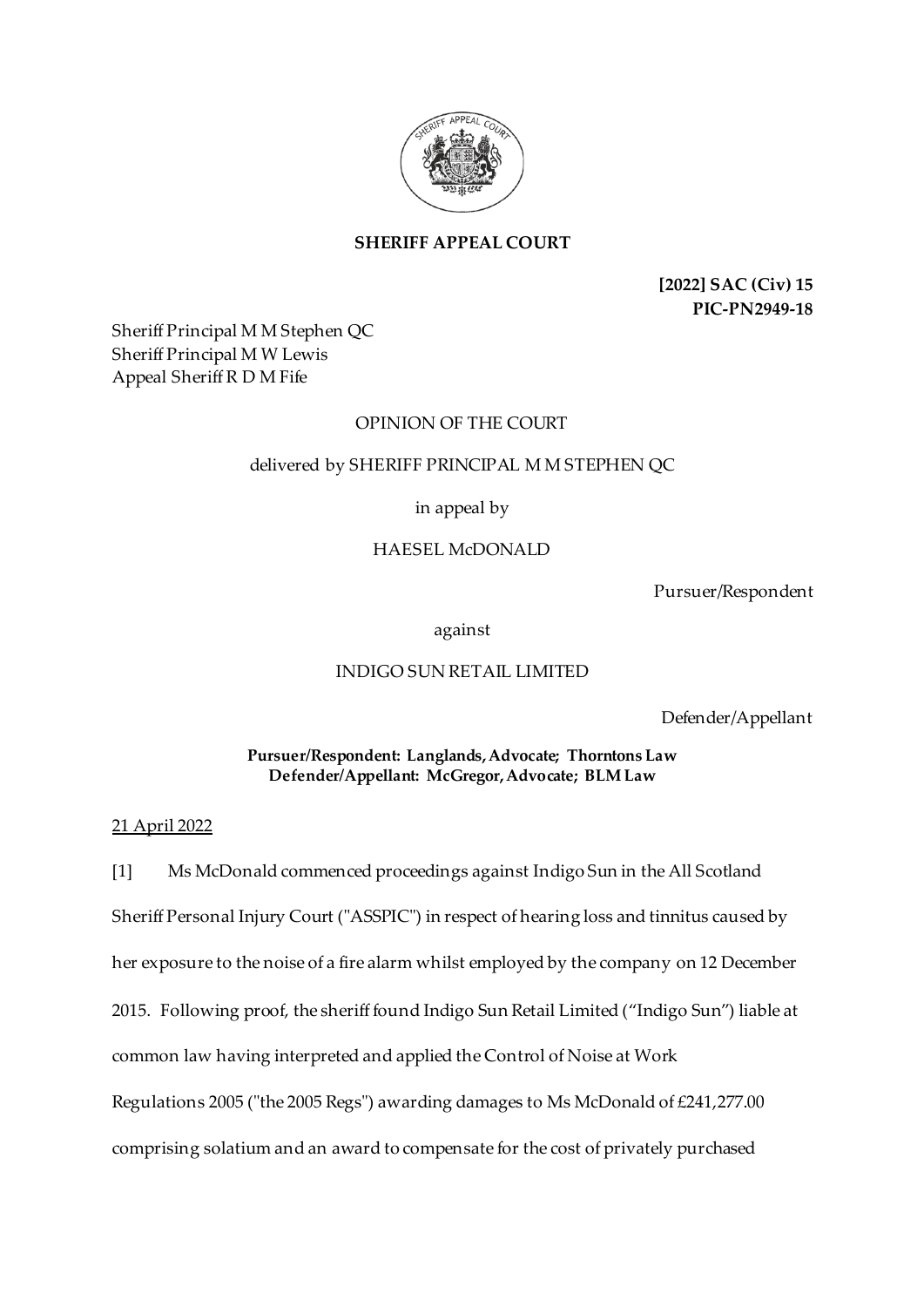

# **SHERIFF APPEAL COURT**

**[2022] SAC (Civ) 15 PIC-PN2949-18**

Sheriff Principal M M Stephen QC Sheriff Principal M W Lewis Appeal Sheriff R D M Fife

## OPINION OF THE COURT

## delivered by SHERIFF PRINCIPAL M M STEPHEN QC

in appeal by

## HAESEL McDONALD

Pursuer/Respondent

against

## INDIGO SUN RETAIL LIMITED

Defender/Appellant

## **Pursuer/Respondent: Langlands, Advocate; Thorntons Law Defender/Appellant: McGregor, Advocate; BLM Law**

## 21 April 2022

[1] Ms McDonald commenced proceedings against Indigo Sun in the All Scotland Sheriff Personal Injury Court ("ASSPIC") in respect of hearing loss and tinnitus caused by her exposure to the noise of a fire alarm whilst employed by the company on 12 December 2015. Following proof, the sheriff found Indigo Sun Retail Limited ("Indigo Sun") liable at common law having interpreted and applied the Control of Noise at Work Regulations 2005 ("the 2005 Regs") awarding damages to Ms McDonald of £241,277.00 comprising solatium and an award to compensate for the cost of privately purchased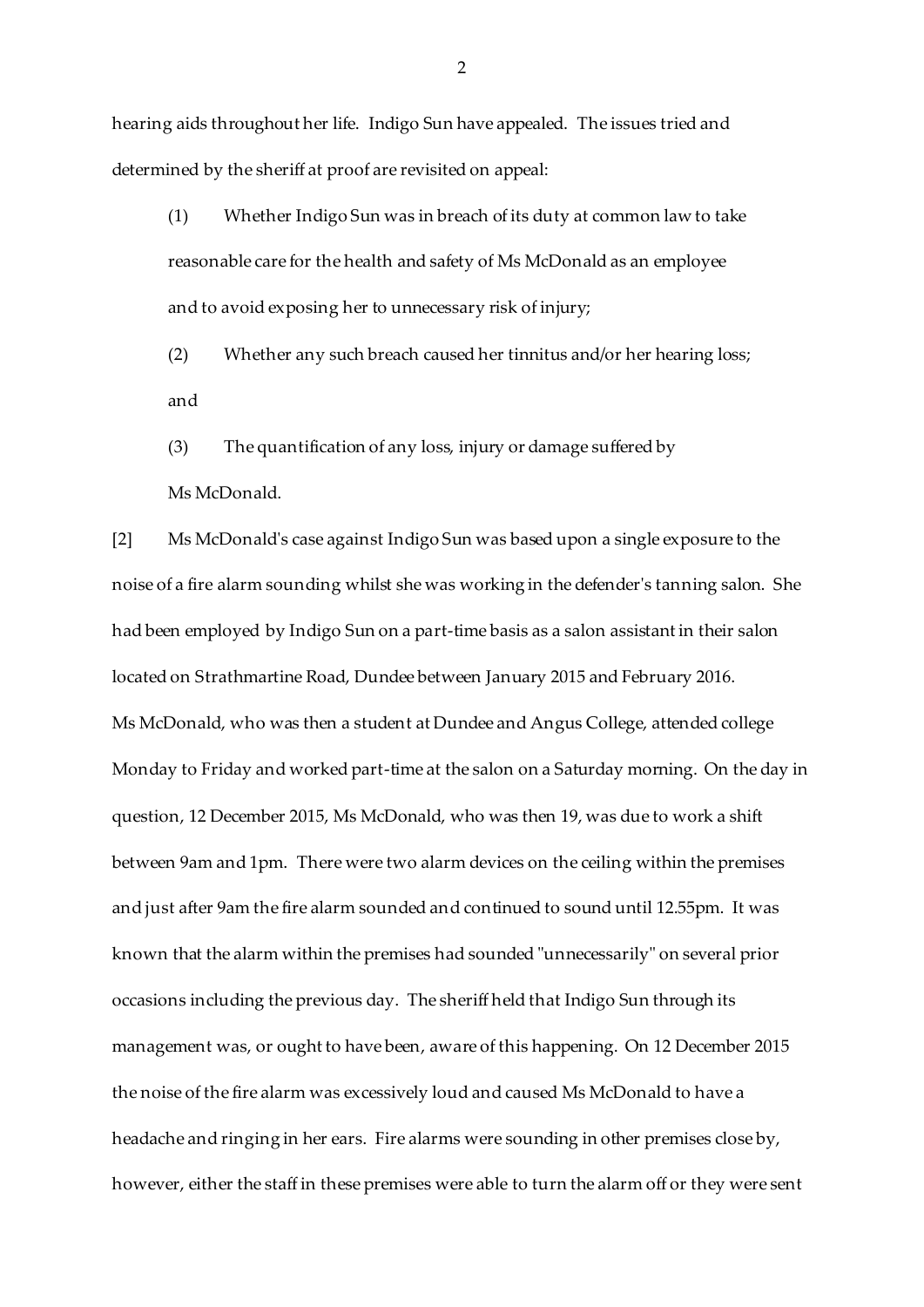hearing aids throughout her life. Indigo Sun have appealed. The issues tried and determined by the sheriff at proof are revisited on appeal:

(1) Whether Indigo Sun was in breach of its duty at common law to take reasonable care for the health and safety of Ms McDonald as an employee and to avoid exposing her to unnecessary risk of injury;

(2) Whether any such breach caused her tinnitus and/or her hearing loss; and

(3) The quantification of any loss, injury or damage suffered by

Ms McDonald.

[2] Ms McDonald's case against Indigo Sun was based upon a single exposure to the noise of a fire alarm sounding whilst she was working in the defender's tanning salon. She had been employed by Indigo Sun on a part-time basis as a salon assistant in their salon located on Strathmartine Road, Dundee between January 2015 and February 2016. Ms McDonald, who was then a student at Dundee and Angus College, attended college Monday to Friday and worked part-time at the salon on a Saturday morning. On the day in question, 12 December 2015, Ms McDonald, who was then 19, was due to work a shift between 9am and 1pm. There were two alarm devices on the ceiling within the premises and just after 9am the fire alarm sounded and continued to sound until 12.55pm. It was known that the alarm within the premises had sounded "unnecessarily" on several prior occasions including the previous day. The sheriff held that Indigo Sun through its management was, or ought to have been, aware of this happening. On 12 December 2015 the noise of the fire alarm was excessively loud and caused Ms McDonald to have a headache and ringing in her ears. Fire alarms were sounding in other premises close by, however, either the staff in these premises were able to turn the alarm off or they were sent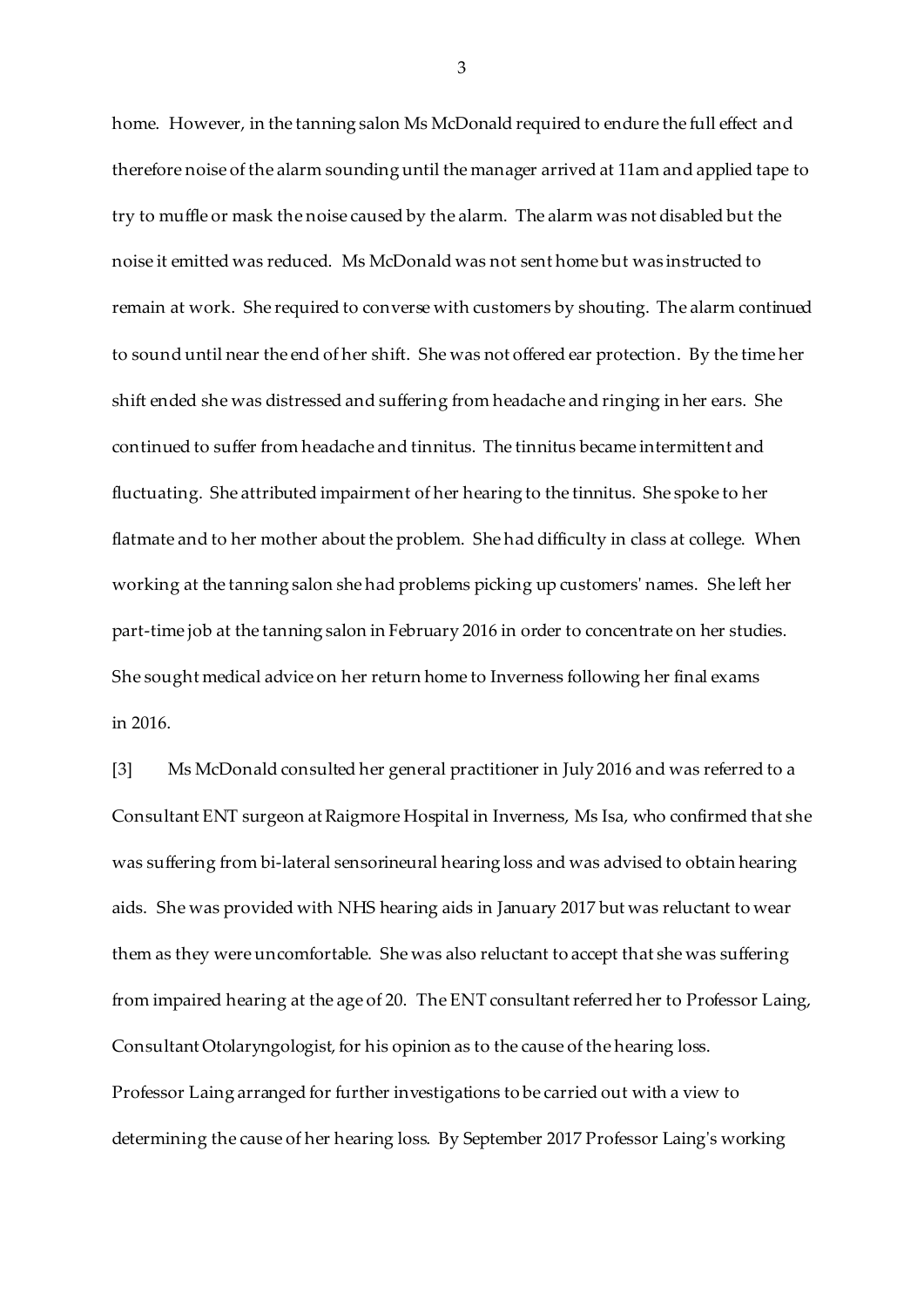home. However, in the tanning salon Ms McDonald required to endure the full effect and therefore noise of the alarm sounding until the manager arrived at 11am and applied tape to try to muffle or mask the noise caused by the alarm. The alarm was not disabled but the noise it emitted was reduced. Ms McDonald was not sent home but was instructed to remain at work. She required to converse with customers by shouting. The alarm continued to sound until near the end of her shift. She was not offered ear protection. By the time her shift ended she was distressed and suffering from headache and ringing in her ears. She continued to suffer from headache and tinnitus. The tinnitus became intermittent and fluctuating. She attributed impairment of her hearing to the tinnitus. She spoke to her flatmate and to her mother about the problem. She had difficulty in class at college. When working at the tanning salon she had problems picking up customers' names. She left her part-time job at the tanning salon in February 2016 in order to concentrate on her studies. She sought medical advice on her return home to Inverness following her final exams in 2016.

[3] Ms McDonald consulted her general practitioner in July 2016 and was referred to a Consultant ENT surgeon at Raigmore Hospital in Inverness, Ms Isa, who confirmed that she was suffering from bi-lateral sensorineural hearing loss and was advised to obtain hearing aids. She was provided with NHS hearing aids in January 2017 but was reluctant to wear them as they were uncomfortable. She was also reluctant to accept that she was suffering from impaired hearing at the age of 20. The ENT consultant referred her to Professor Laing, Consultant Otolaryngologist, for his opinion as to the cause of the hearing loss. Professor Laing arranged for further investigations to be carried out with a view to determining the cause of her hearing loss. By September 2017 Professor Laing's working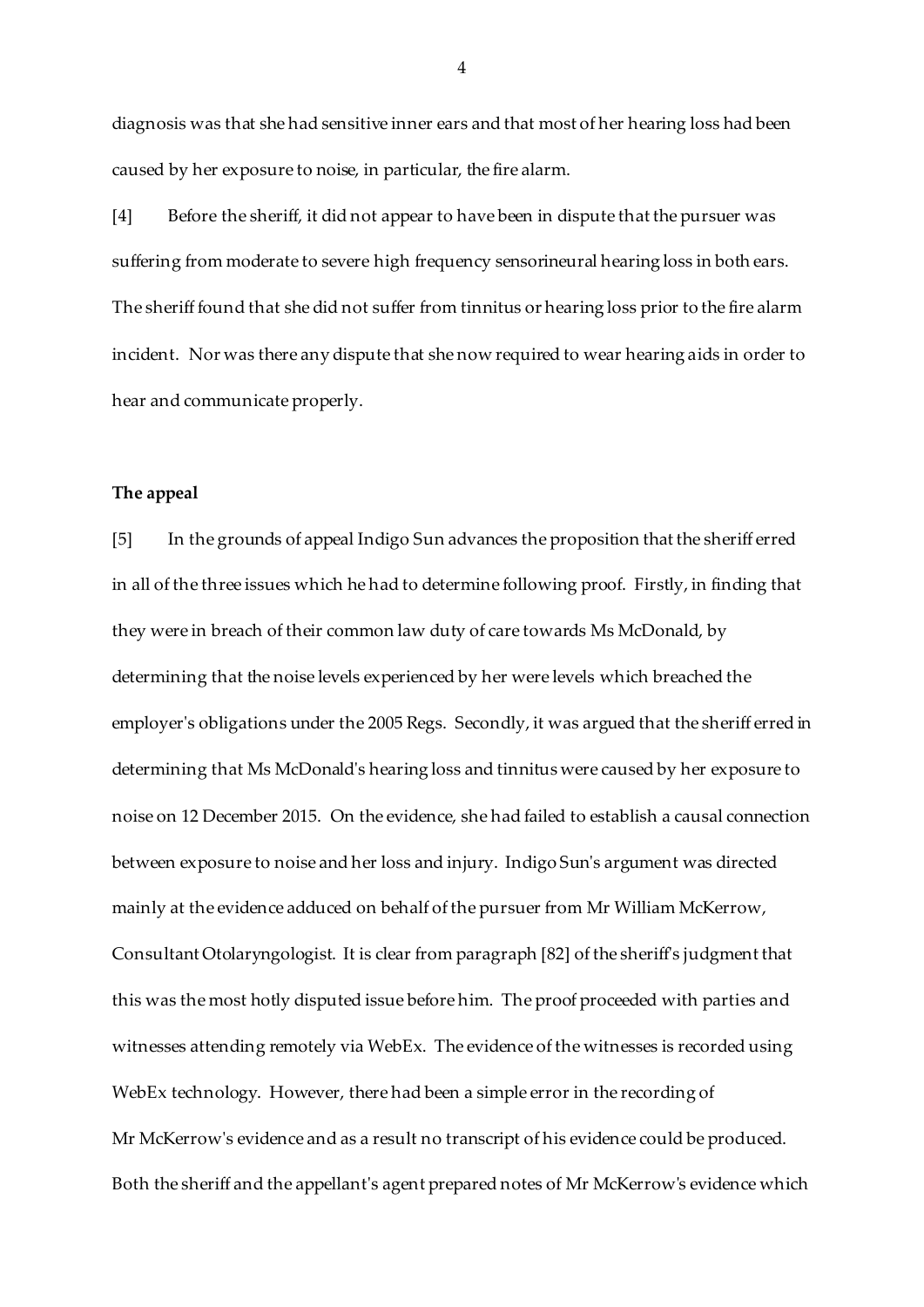diagnosis was that she had sensitive inner ears and that most of her hearing loss had been caused by her exposure to noise, in particular, the fire alarm.

[4] Before the sheriff, it did not appear to have been in dispute that the pursuer was suffering from moderate to severe high frequency sensorineural hearing loss in both ears. The sheriff found that she did not suffer from tinnitus or hearing loss prior to the fire alarm incident. Nor was there any dispute that she now required to wear hearing aids in order to hear and communicate properly.

### **The appeal**

[5] In the grounds of appeal Indigo Sun advances the proposition that the sheriff erred in all of the three issues which he had to determine following proof. Firstly, in finding that they were in breach of their common law duty of care towards Ms McDonald, by determining that the noise levels experienced by her were levels which breached the employer's obligations under the 2005 Regs. Secondly, it was argued that the sheriff erred in determining that Ms McDonald's hearing loss and tinnitus were caused by her exposure to noise on 12 December 2015. On the evidence, she had failed to establish a causal connection between exposure to noise and her loss and injury. Indigo Sun's argument was directed mainly at the evidence adduced on behalf of the pursuer from Mr William McKerrow, Consultant Otolaryngologist. It is clear from paragraph [82] of the sheriff's judgment that this was the most hotly disputed issue before him. The proof proceeded with parties and witnesses attending remotely via WebEx. The evidence of the witnesses is recorded using WebEx technology. However, there had been a simple error in the recording of Mr McKerrow's evidence and as a result no transcript of his evidence could be produced. Both the sheriff and the appellant's agent prepared notes of Mr McKerrow's evidence which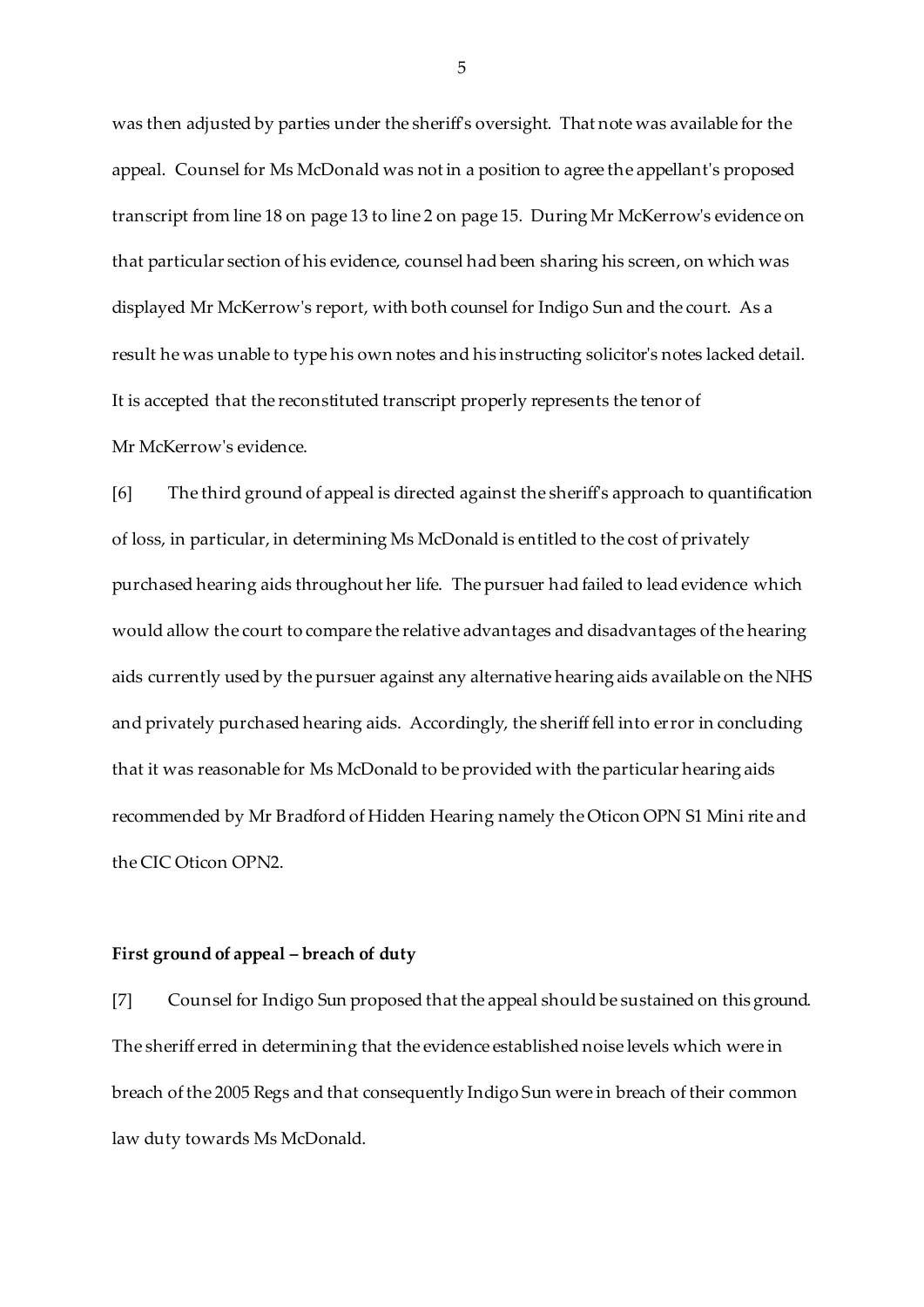was then adjusted by parties under the sheriff's oversight. That note was available for the appeal. Counsel for Ms McDonald was not in a position to agree the appellant's proposed transcript from line 18 on page 13 to line 2 on page 15. During Mr McKerrow's evidence on that particular section of his evidence, counsel had been sharing his screen, on which was displayed Mr McKerrow's report, with both counsel for Indigo Sun and the court. As a result he was unable to type his own notes and his instructing solicitor's notes lacked detail. It is accepted that the reconstituted transcript properly represents the tenor of Mr McKerrow's evidence.

[6] The third ground of appeal is directed against the sheriff's approach to quantification of loss, in particular, in determining Ms McDonald is entitled to the cost of privately purchased hearing aids throughout her life. The pursuer had failed to lead evidence which would allow the court to compare the relative advantages and disadvantages of the hearing aids currently used by the pursuer against any alternative hearing aids available on the NHS and privately purchased hearing aids. Accordingly, the sheriff fell into error in concluding that it was reasonable for Ms McDonald to be provided with the particular hearing aids recommended by Mr Bradford of Hidden Hearing namely the Oticon OPN S1 Mini rite and the CIC Oticon OPN2.

#### **First ground of appeal – breach of duty**

[7] Counsel for Indigo Sun proposed that the appeal should be sustained on this ground. The sheriff erred in determining that the evidence established noise levels which were in breach of the 2005 Regs and that consequently Indigo Sun were in breach of their common law duty towards Ms McDonald.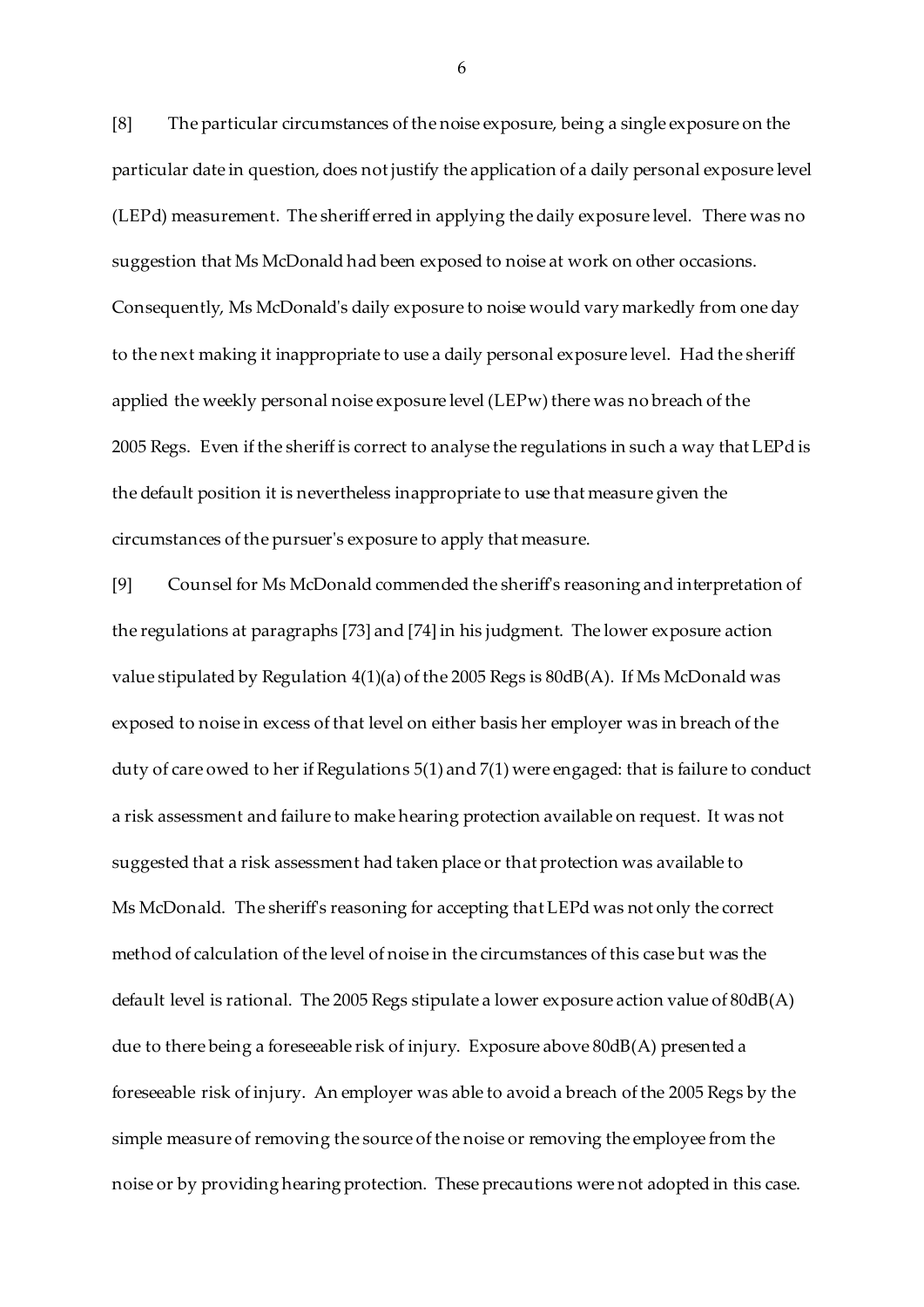[8] The particular circumstances of the noise exposure, being a single exposure on the particular date in question, does not justify the application of a daily personal exposure level (LEPd) measurement. The sheriff erred in applying the daily exposure level. There was no suggestion that Ms McDonald had been exposed to noise at work on other occasions. Consequently, Ms McDonald's daily exposure to noise would vary markedly from one day to the next making it inappropriate to use a daily personal exposure level. Had the sheriff applied the weekly personal noise exposure level (LEPw) there was no breach of the 2005 Regs. Even if the sheriff is correct to analyse the regulations in such a way that LEPd is the default position it is nevertheless inappropriate to use that measure given the circumstances of the pursuer's exposure to apply that measure.

[9] Counsel for Ms McDonald commended the sheriff's reasoning and interpretation of the regulations at paragraphs [73] and [74] in his judgment. The lower exposure action value stipulated by Regulation 4(1)(a) of the 2005 Regs is 80dB(A). If Ms McDonald was exposed to noise in excess of that level on either basis her employer was in breach of the duty of care owed to her if Regulations 5(1) and 7(1) were engaged: that is failure to conduct a risk assessment and failure to make hearing protection available on request. It was not suggested that a risk assessment had taken place or that protection was available to Ms McDonald. The sheriff's reasoning for accepting that LEPd was not only the correct method of calculation of the level of noise in the circumstances of this case but was the default level is rational. The 2005 Regs stipulate a lower exposure action value of 80dB(A) due to there being a foreseeable risk of injury. Exposure above 80dB(A) presented a foreseeable risk of injury. An employer was able to avoid a breach of the 2005 Regs by the simple measure of removing the source of the noise or removing the employee from the noise or by providing hearing protection. These precautions were not adopted in this case.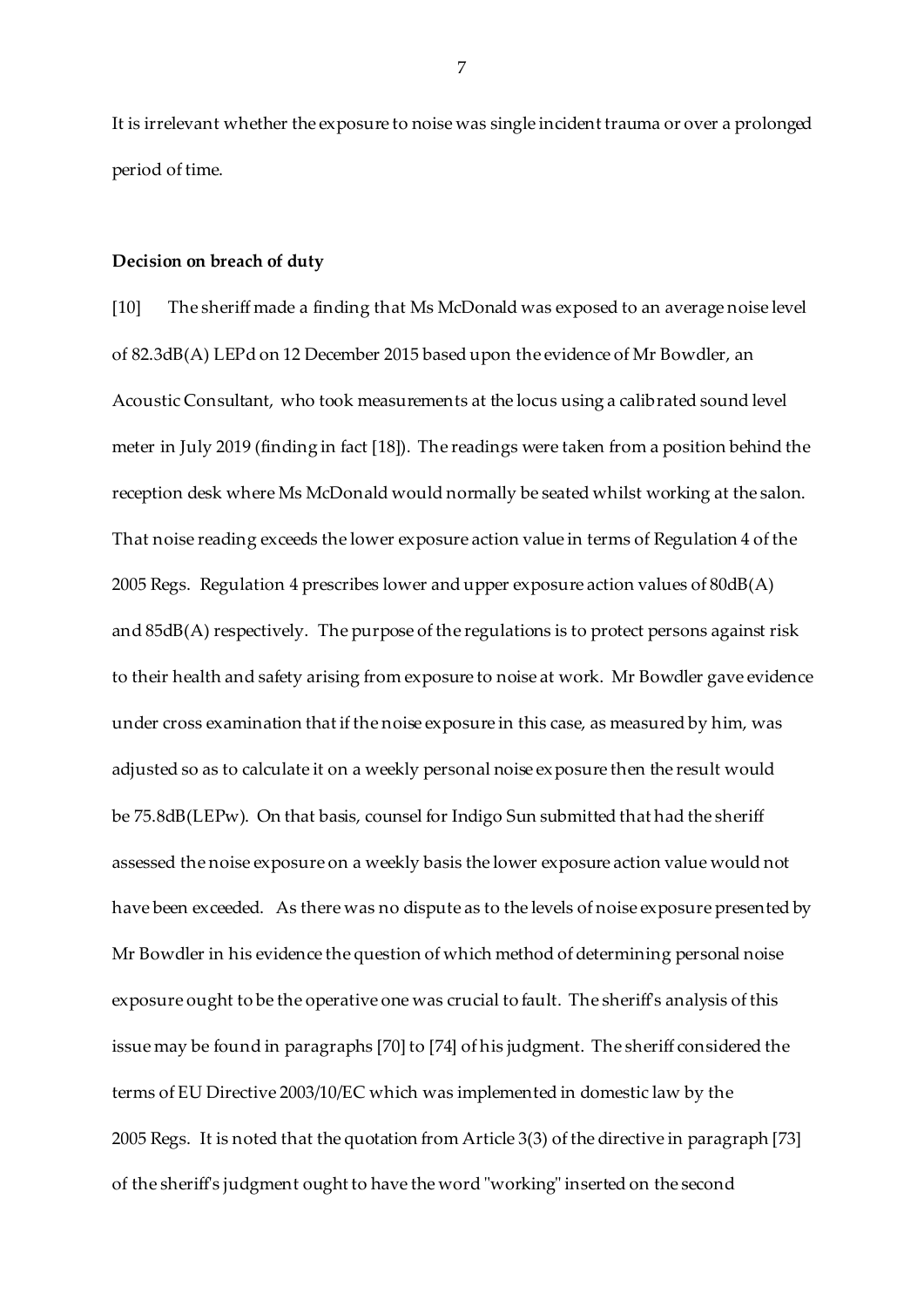It is irrelevant whether the exposure to noise was single incident trauma or over a prolonged period of time.

#### **Decision on breach of duty**

[10] The sheriff made a finding that Ms McDonald was exposed to an average noise level of 82.3dB(A) LEPd on 12 December 2015 based upon the evidence of Mr Bowdler, an Acoustic Consultant, who took measurements at the locus using a calibrated sound level meter in July 2019 (finding in fact [18]). The readings were taken from a position behind the reception desk where Ms McDonald would normally be seated whilst working at the salon. That noise reading exceeds the lower exposure action value in terms of Regulation 4 of the 2005 Regs. Regulation 4 prescribes lower and upper exposure action values of 80dB(A) and 85dB(A) respectively. The purpose of the regulations is to protect persons against risk to their health and safety arising from exposure to noise at work. Mr Bowdler gave evidence under cross examination that if the noise exposure in this case, as measured by him, was adjusted so as to calculate it on a weekly personal noise exposure then the result would be 75.8dB(LEPw). On that basis, counsel for Indigo Sun submitted that had the sheriff assessed the noise exposure on a weekly basis the lower exposure action value would not have been exceeded. As there was no dispute as to the levels of noise exposure presented by Mr Bowdler in his evidence the question of which method of determining personal noise exposure ought to be the operative one was crucial to fault. The sheriff's analysis of this issue may be found in paragraphs [70] to [74] of his judgment. The sheriff considered the terms of EU Directive 2003/10/EC which was implemented in domestic law by the 2005 Regs. It is noted that the quotation from Article 3(3) of the directive in paragraph [73] of the sheriff's judgment ought to have the word "working" inserted on the second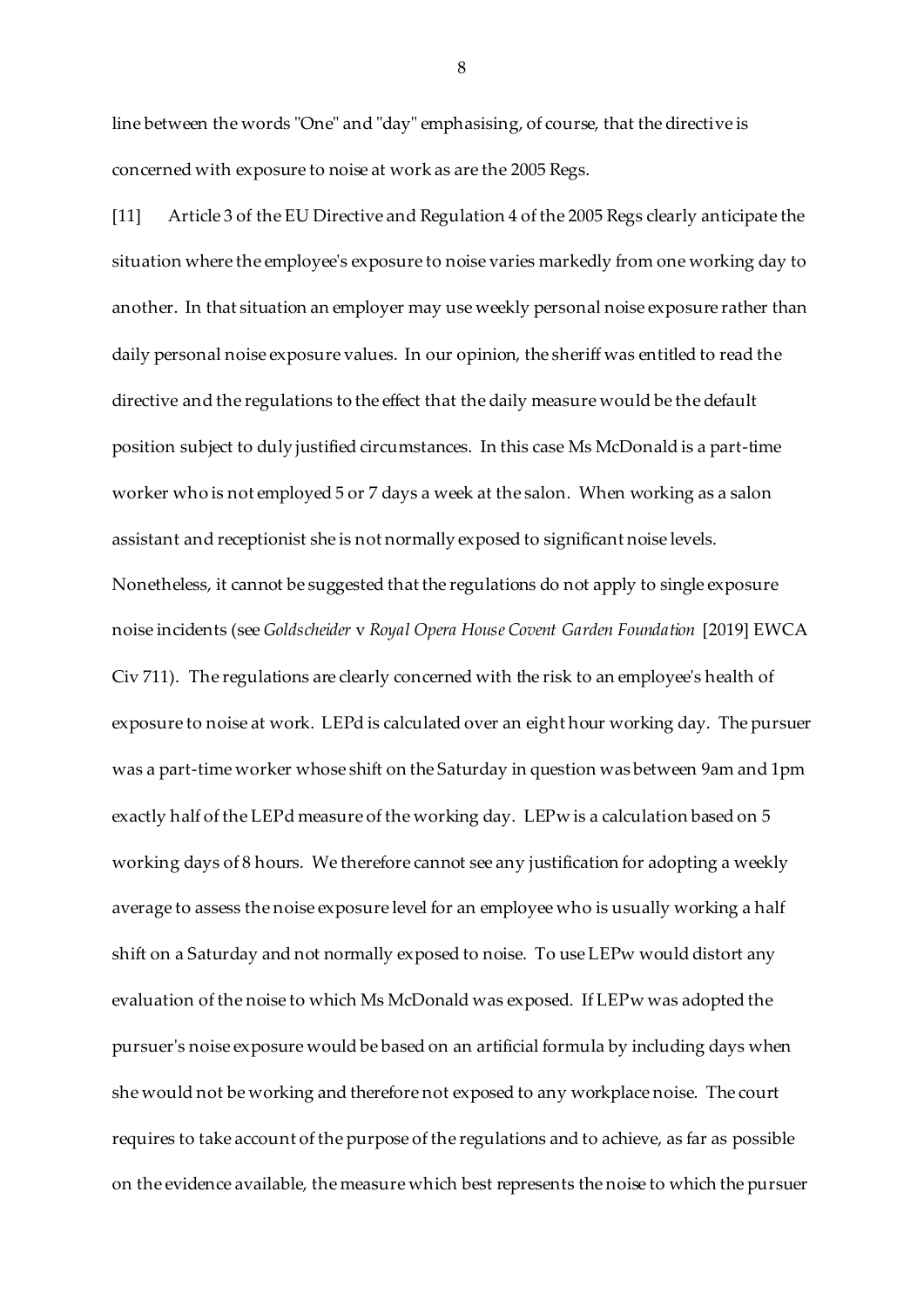line between the words "One" and "day" emphasising, of course, that the directive is concerned with exposure to noise at work as are the 2005 Regs.

[11] Article 3 of the EU Directive and Regulation 4 of the 2005 Regs clearly anticipate the situation where the employee's exposure to noise varies markedly from one working day to another. In that situation an employer may use weekly personal noise exposure rather than daily personal noise exposure values. In our opinion, the sheriff was entitled to read the directive and the regulations to the effect that the daily measure would be the default position subject to duly justified circumstances. In this case Ms McDonald is a part-time worker who is not employed 5 or 7 days a week at the salon. When working as a salon assistant and receptionist she is not normally exposed to significant noise levels. Nonetheless, it cannot be suggested that the regulations do not apply to single exposure noise incidents (see *Goldscheider* v *Royal Opera House Covent Garden Foundation* [2019] EWCA Civ 711). The regulations are clearly concerned with the risk to an employee's health of exposure to noise at work. LEPd is calculated over an eight hour working day. The pursuer was a part-time worker whose shift on the Saturday in question was between 9am and 1pm exactly half of the LEPd measure of the working day. LEPw is a calculation based on 5 working days of 8 hours. We therefore cannot see any justification for adopting a weekly average to assess the noise exposure level for an employee who is usually working a half shift on a Saturday and not normally exposed to noise. To use LEPw would distort any evaluation of the noise to which Ms McDonald was exposed. If LEPw was adopted the pursuer's noise exposure would be based on an artificial formula by including days when she would not be working and therefore not exposed to any workplace noise. The court requires to take account of the purpose of the regulations and to achieve, as far as possible on the evidence available, the measure which best represents the noise to which the pursuer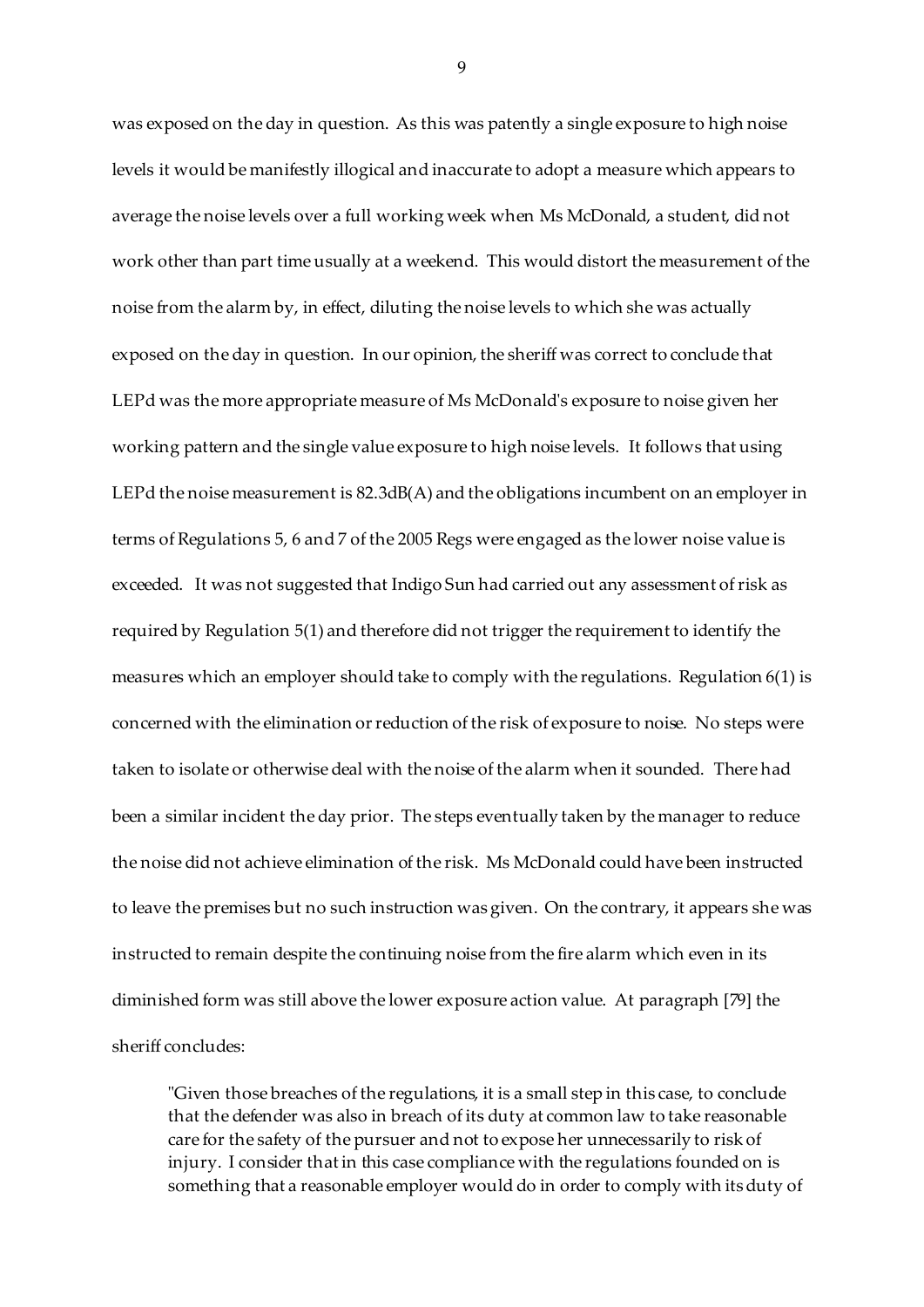was exposed on the day in question. As this was patently a single exposure to high noise levels it would be manifestly illogical and inaccurate to adopt a measure which appears to average the noise levels over a full working week when Ms McDonald, a student, did not work other than part time usually at a weekend. This would distort the measurement of the noise from the alarm by, in effect, diluting the noise levels to which she was actually exposed on the day in question. In our opinion, the sheriff was correct to conclude that LEPd was the more appropriate measure of Ms McDonald's exposure to noise given her working pattern and the single value exposure to high noise levels. It follows that using LEPd the noise measurement is 82.3dB(A) and the obligations incumbent on an employer in terms of Regulations 5, 6 and 7 of the 2005 Regs were engaged as the lower noise value is exceeded. It was not suggested that Indigo Sun had carried out any assessment of risk as required by Regulation 5(1) and therefore did not trigger the requirement to identify the measures which an employer should take to comply with the regulations. Regulation 6(1) is concerned with the elimination or reduction of the risk of exposure to noise. No steps were taken to isolate or otherwise deal with the noise of the alarm when it sounded. There had been a similar incident the day prior. The steps eventually taken by the manager to reduce the noise did not achieve elimination of the risk. Ms McDonald could have been instructed to leave the premises but no such instruction was given. On the contrary, it appears she was instructed to remain despite the continuing noise from the fire alarm which even in its diminished form was still above the lower exposure action value. At paragraph [79] the sheriff concludes:

"Given those breaches of the regulations, it is a small step in this case, to conclude that the defender was also in breach of its duty at common law to take reasonable care for the safety of the pursuer and not to expose her unnecessarily to risk of injury. I consider that in this case compliance with the regulations founded on is something that a reasonable employer would do in order to comply with its duty of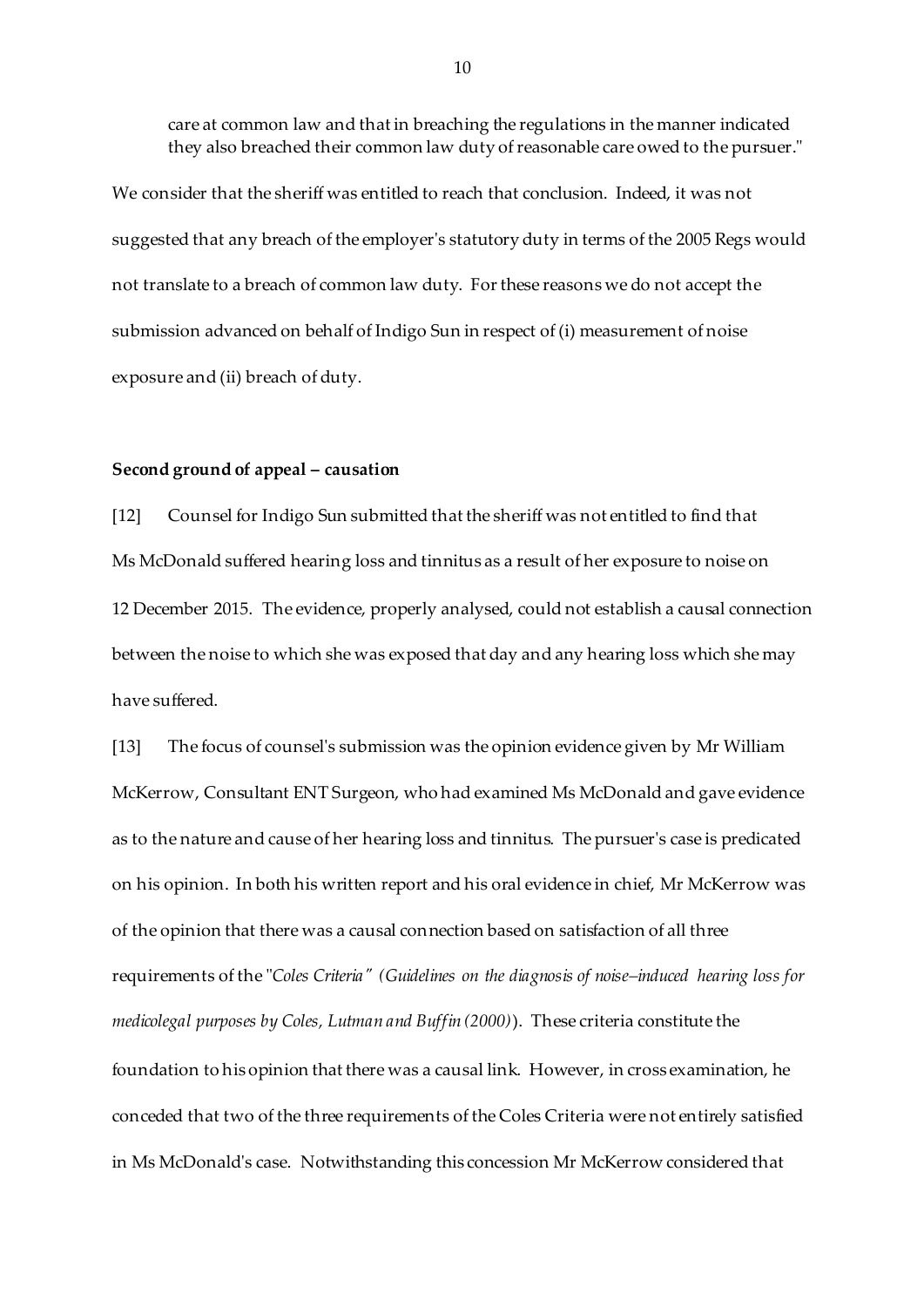care at common law and that in breaching the regulations in the manner indicated they also breached their common law duty of reasonable care owed to the pursuer."

We consider that the sheriff was entitled to reach that conclusion. Indeed, it was not suggested that any breach of the employer's statutory duty in terms of the 2005 Regs would not translate to a breach of common law duty. For these reasons we do not accept the submission advanced on behalf of Indigo Sun in respect of (i) measurement of noise exposure and (ii) breach of duty.

### **Second ground of appeal – causation**

[12] Counsel for Indigo Sun submitted that the sheriff was not entitled to find that Ms McDonald suffered hearing loss and tinnitus as a result of her exposure to noise on 12 December 2015. The evidence, properly analysed, could not establish a causal connection between the noise to which she was exposed that day and any hearing loss which she may have suffered.

[13] The focus of counsel's submission was the opinion evidence given by Mr William McKerrow, Consultant ENT Surgeon, who had examined Ms McDonald and gave evidence as to the nature and cause of her hearing loss and tinnitus. The pursuer's case is predicated on his opinion. In both his written report and his oral evidence in chief, Mr McKerrow was of the opinion that there was a causal connection based on satisfaction of all three requirements of the "*Coles Criteria" (Guidelines on the diagnosis of noise–induced hearing loss for medicolegal purposes by Coles, Lutman and Buffin (2000)*). These criteria constitute the foundation to his opinion that there was a causal link. However, in cross examination, he conceded that two of the three requirements of the Coles Criteria were not entirely satisfied in Ms McDonald's case. Notwithstanding this concession Mr McKerrow considered that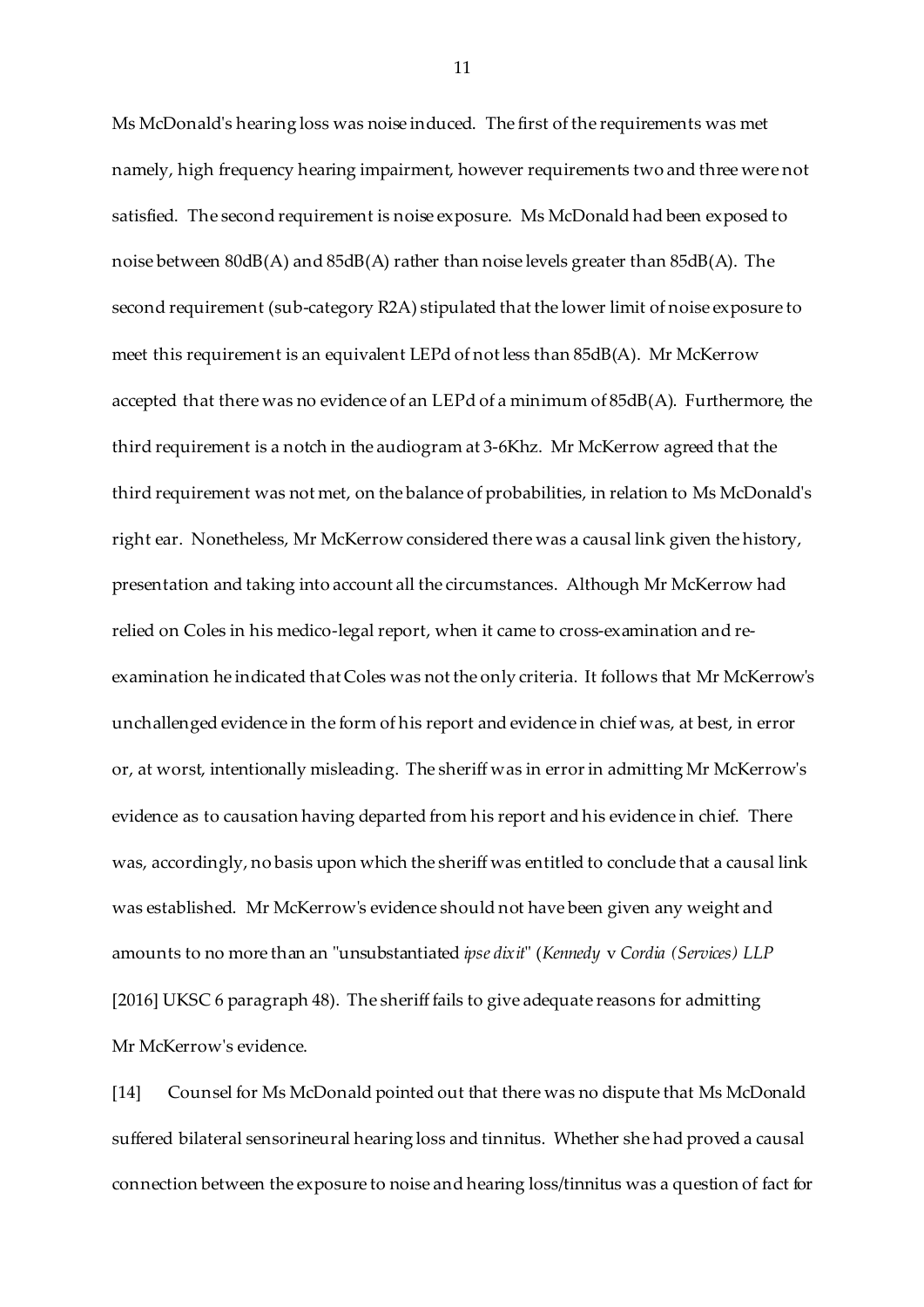Ms McDonald's hearing loss was noise induced. The first of the requirements was met namely, high frequency hearing impairment, however requirements two and three were not satisfied. The second requirement is noise exposure. Ms McDonald had been exposed to noise between 80dB(A) and 85dB(A) rather than noise levels greater than 85dB(A). The second requirement (sub-category R2A) stipulated that the lower limit of noise exposure to meet this requirement is an equivalent LEPd of not less than 85dB(A). Mr McKerrow accepted that there was no evidence of an LEPd of a minimum of 85dB(A). Furthermore, the third requirement is a notch in the audiogram at 3-6Khz. Mr McKerrow agreed that the third requirement was not met, on the balance of probabilities, in relation to Ms McDonald's right ear. Nonetheless, Mr McKerrow considered there was a causal link given the history, presentation and taking into account all the circumstances. Although Mr McKerrow had relied on Coles in his medico-legal report, when it came to cross-examination and reexamination he indicated that Coles was not the only criteria. It follows that Mr McKerrow's unchallenged evidence in the form of his report and evidence in chief was, at best, in error or, at worst, intentionally misleading. The sheriff was in error in admitting Mr McKerrow's evidence as to causation having departed from his report and his evidence in chief. There was, accordingly, no basis upon which the sheriff was entitled to conclude that a causal link was established. Mr McKerrow's evidence should not have been given any weight and amounts to no more than an "unsubstantiated *ipse dixit*" (*Kennedy* v *Cordia (Services) LLP* [2016] UKSC 6 paragraph 48). The sheriff fails to give adequate reasons for admitting Mr McKerrow's evidence.

[14] Counsel for Ms McDonald pointed out that there was no dispute that Ms McDonald suffered bilateral sensorineural hearing loss and tinnitus. Whether she had proved a causal connection between the exposure to noise and hearing loss/tinnitus was a question of fact for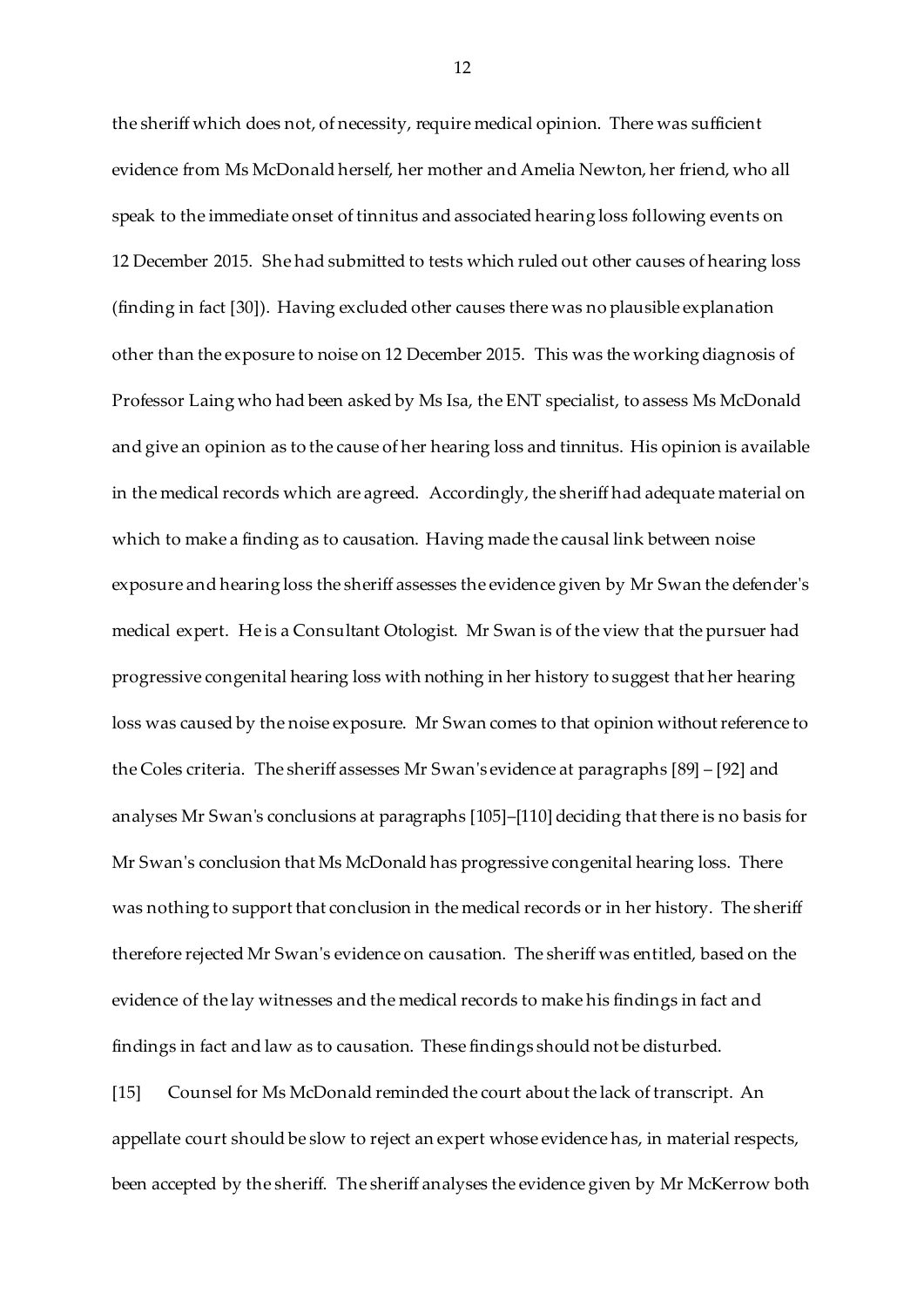the sheriff which does not, of necessity, require medical opinion. There was sufficient evidence from Ms McDonald herself, her mother and Amelia Newton, her friend, who all speak to the immediate onset of tinnitus and associated hearing loss following events on 12 December 2015. She had submitted to tests which ruled out other causes of hearing loss (finding in fact [30]). Having excluded other causes there was no plausible explanation other than the exposure to noise on 12 December 2015. This was the working diagnosis of Professor Laing who had been asked by Ms Isa, the ENT specialist, to assess Ms McDonald and give an opinion as to the cause of her hearing loss and tinnitus. His opinion is available in the medical records which are agreed. Accordingly, the sheriff had adequate material on which to make a finding as to causation. Having made the causal link between noise exposure and hearing loss the sheriff assesses the evidence given by Mr Swan the defender's medical expert. He is a Consultant Otologist. Mr Swan is of the view that the pursuer had progressive congenital hearing loss with nothing in her history to suggest that her hearing loss was caused by the noise exposure. Mr Swan comes to that opinion without reference to the Coles criteria. The sheriff assesses Mr Swan's evidence at paragraphs [89] – [92] and analyses Mr Swan's conclusions at paragraphs [105]–[110] deciding that there is no basis for Mr Swan's conclusion that Ms McDonald has progressive congenital hearing loss. There was nothing to support that conclusion in the medical records or in her history. The sheriff therefore rejected Mr Swan's evidence on causation. The sheriff was entitled, based on the evidence of the lay witnesses and the medical records to make his findings in fact and findings in fact and law as to causation. These findings should not be disturbed.

[15] Counsel for Ms McDonald reminded the court about the lack of transcript. An appellate court should be slow to reject an expert whose evidence has, in material respects, been accepted by the sheriff. The sheriff analyses the evidence given by Mr McKerrow both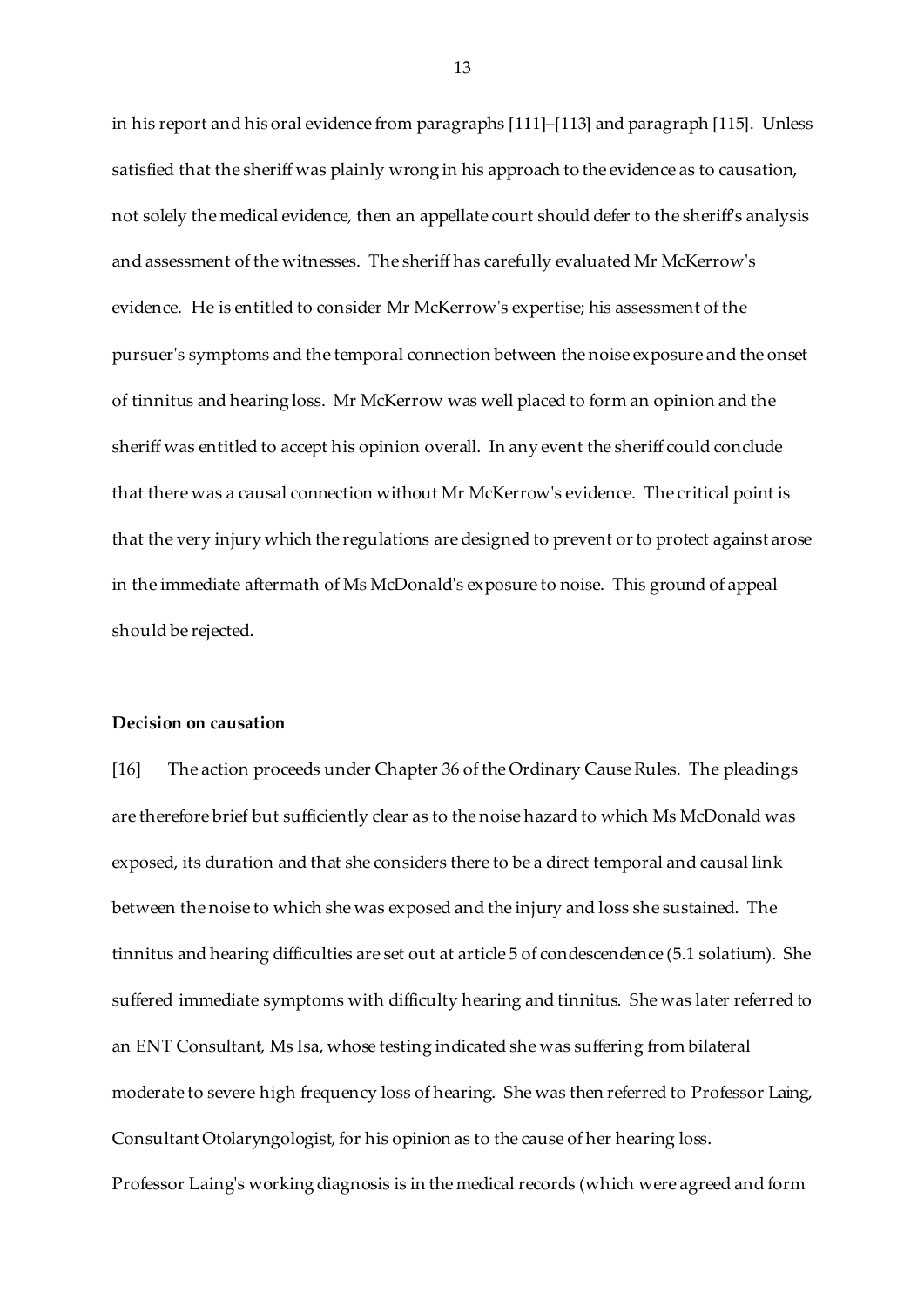in his report and his oral evidence from paragraphs [111]–[113] and paragraph [115]. Unless satisfied that the sheriff was plainly wrong in his approach to the evidence as to causation, not solely the medical evidence, then an appellate court should defer to the sheriff's analysis and assessment of the witnesses. The sheriff has carefully evaluated Mr McKerrow's evidence. He is entitled to consider Mr McKerrow's expertise; his assessment of the pursuer's symptoms and the temporal connection between the noise exposure and the onset of tinnitus and hearing loss. Mr McKerrow was well placed to form an opinion and the sheriff was entitled to accept his opinion overall. In any event the sheriff could conclude that there was a causal connection without Mr McKerrow's evidence. The critical point is that the very injury which the regulations are designed to prevent or to protect against arose in the immediate aftermath of Ms McDonald's exposure to noise. This ground of appeal should be rejected.

#### **Decision on causation**

[16] The action proceeds under Chapter 36 of the Ordinary Cause Rules. The pleadings are therefore brief but sufficiently clear as to the noise hazard to which Ms McDonald was exposed, its duration and that she considers there to be a direct temporal and causal link between the noise to which she was exposed and the injury and loss she sustained. The tinnitus and hearing difficulties are set out at article 5 of condescendence (5.1 solatium). She suffered immediate symptoms with difficulty hearing and tinnitus. She was later referred to an ENT Consultant, Ms Isa, whose testing indicated she was suffering from bilateral moderate to severe high frequency loss of hearing. She was then referred to Professor Laing, Consultant Otolaryngologist, for his opinion as to the cause of her hearing loss.

Professor Laing's working diagnosis is in the medical records (which were agreed and form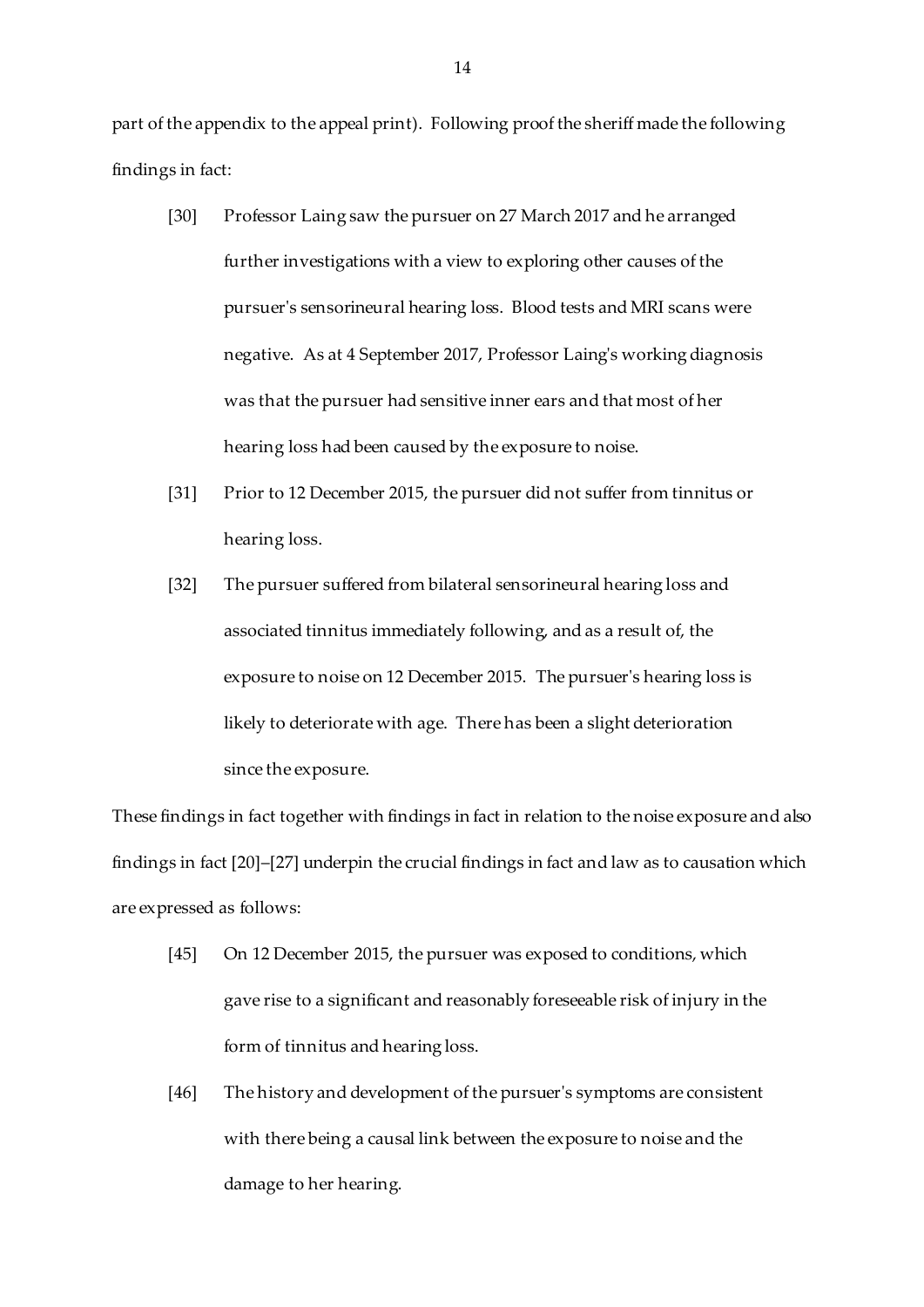part of the appendix to the appeal print). Following proof the sheriff made the following findings in fact:

- [30] Professor Laing saw the pursuer on 27 March 2017 and he arranged further investigations with a view to exploring other causes of the pursuer's sensorineural hearing loss. Blood tests and MRI scans were negative. As at 4 September 2017, Professor Laing's working diagnosis was that the pursuer had sensitive inner ears and that most of her hearing loss had been caused by the exposure to noise.
- [31] Prior to 12 December 2015, the pursuer did not suffer from tinnitus or hearing loss.
- [32] The pursuer suffered from bilateral sensorineural hearing loss and associated tinnitus immediately following, and as a result of, the exposure to noise on 12 December 2015. The pursuer's hearing loss is likely to deteriorate with age. There has been a slight deterioration since the exposure.

These findings in fact together with findings in fact in relation to the noise exposure and also findings in fact [20]–[27] underpin the crucial findings in fact and law as to causation which are expressed as follows:

- [45] On 12 December 2015, the pursuer was exposed to conditions, which gave rise to a significant and reasonably foreseeable risk of injury in the form of tinnitus and hearing loss.
- [46] The history and development of the pursuer's symptoms are consistent with there being a causal link between the exposure to noise and the damage to her hearing.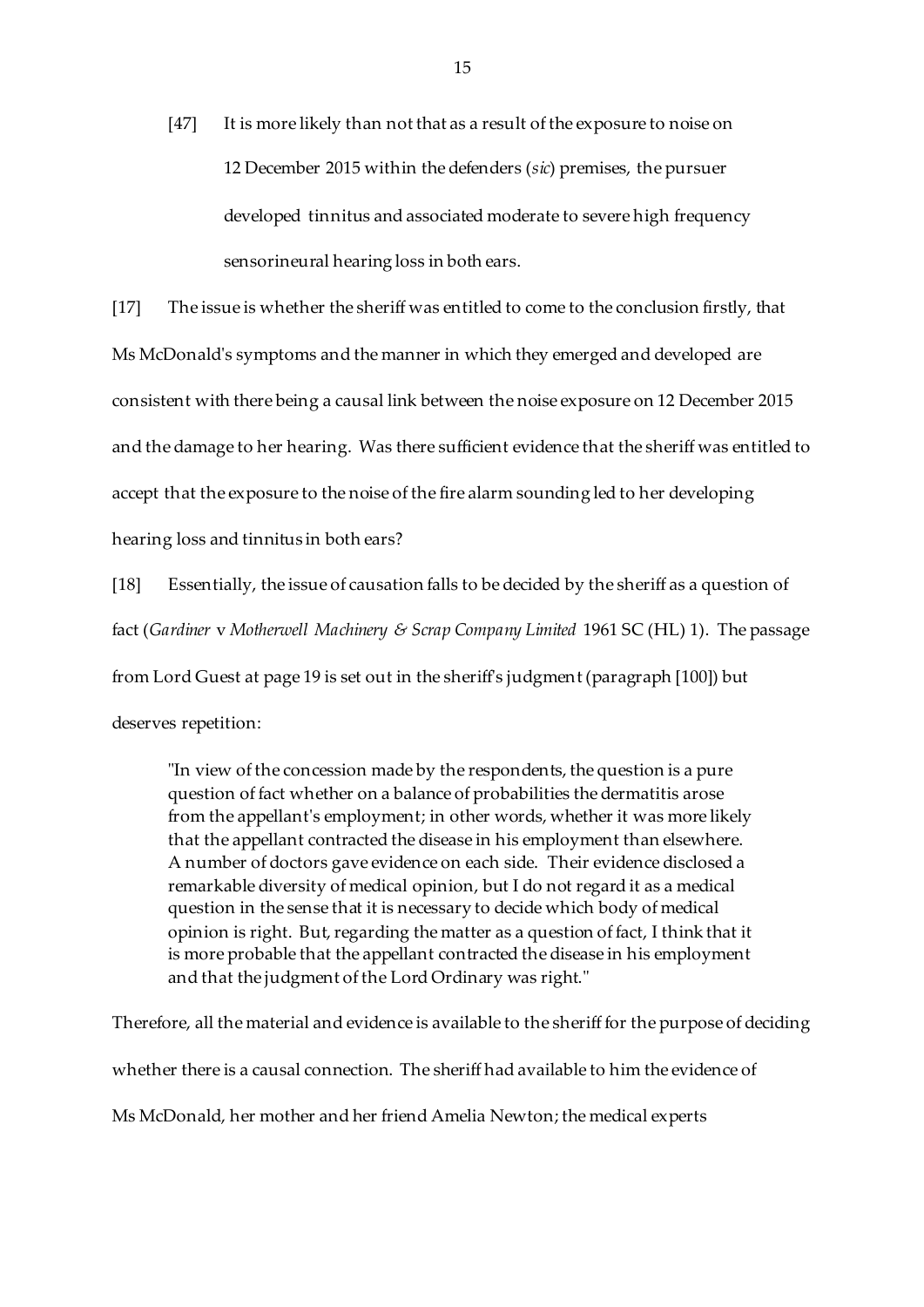[47] It is more likely than not that as a result of the exposure to noise on 12 December 2015 within the defenders (*sic*) premises, the pursuer developed tinnitus and associated moderate to severe high frequency sensorineural hearing loss in both ears.

[17] The issue is whether the sheriff was entitled to come to the conclusion firstly, that Ms McDonald's symptoms and the manner in which they emerged and developed are consistent with there being a causal link between the noise exposure on 12 December 2015 and the damage to her hearing. Was there sufficient evidence that the sheriff was entitled to accept that the exposure to the noise of the fire alarm sounding led to her developing hearing loss and tinnitus in both ears?

[18] Essentially, the issue of causation falls to be decided by the sheriff as a question of fact (*Gardiner* v *Motherwell Machinery & Scrap Company Limited* 1961 SC (HL) 1). The passage

from Lord Guest at page 19 is set out in the sheriff's judgment (paragraph [100]) but

deserves repetition:

"In view of the concession made by the respondents, the question is a pure question of fact whether on a balance of probabilities the dermatitis arose from the appellant's employment; in other words, whether it was more likely that the appellant contracted the disease in his employment than elsewhere. A number of doctors gave evidence on each side. Their evidence disclosed a remarkable diversity of medical opinion, but I do not regard it as a medical question in the sense that it is necessary to decide which body of medical opinion is right. But, regarding the matter as a question of fact, I think that it is more probable that the appellant contracted the disease in his employment and that the judgment of the Lord Ordinary was right."

Therefore, all the material and evidence is available to the sheriff for the purpose of deciding whether there is a causal connection. The sheriff had available to him the evidence of Ms McDonald, her mother and her friend Amelia Newton; the medical experts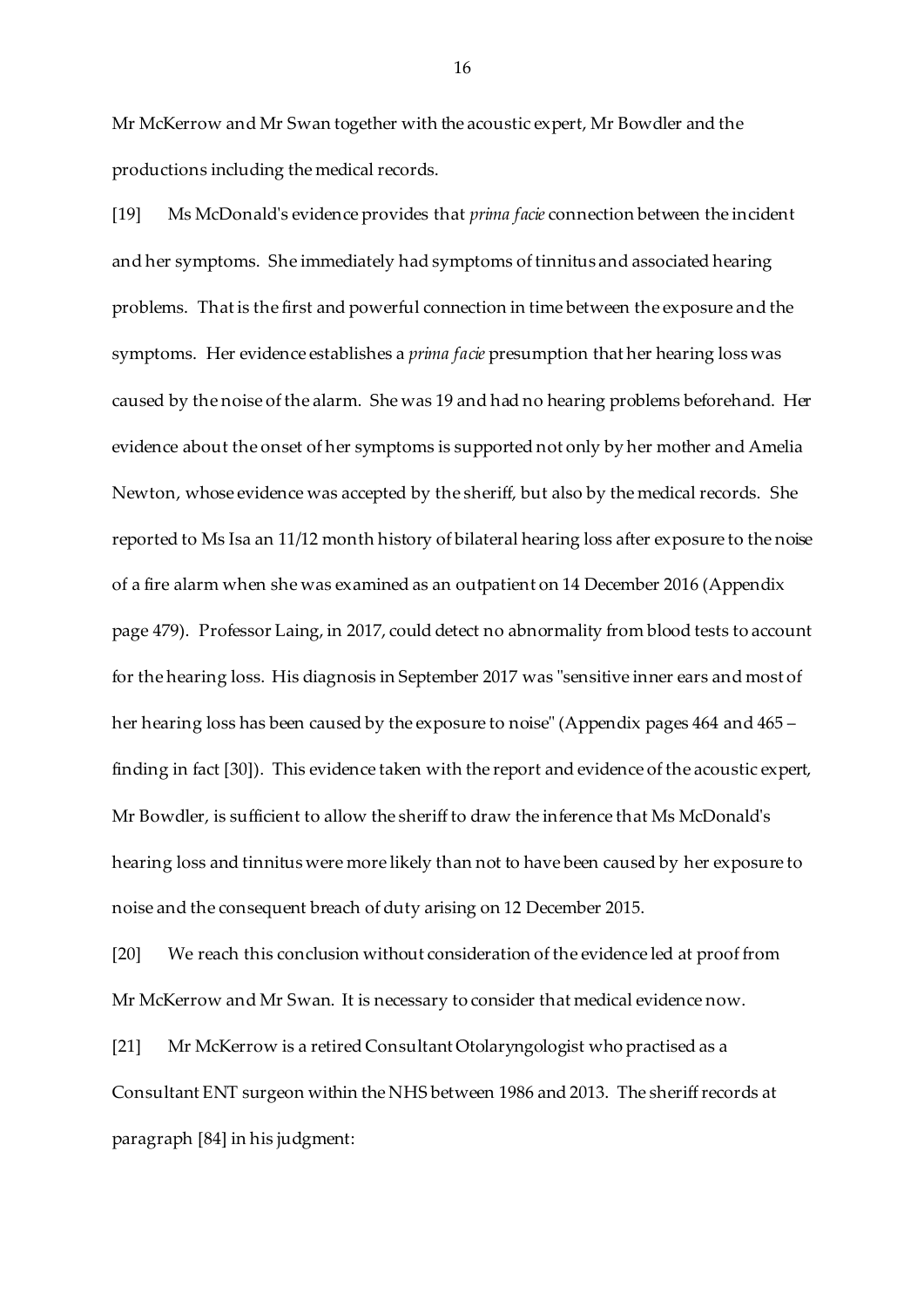Mr McKerrow and Mr Swan together with the acoustic expert, Mr Bowdler and the productions including the medical records.

[19] Ms McDonald's evidence provides that *prima facie* connection between the incident and her symptoms. She immediately had symptoms of tinnitus and associated hearing problems. That is the first and powerful connection in time between the exposure and the symptoms. Her evidence establishes a *prima facie* presumption that her hearing loss was caused by the noise of the alarm. She was 19 and had no hearing problems beforehand. Her evidence about the onset of her symptoms is supported not only by her mother and Amelia Newton, whose evidence was accepted by the sheriff, but also by the medical records. She reported to Ms Isa an 11/12 month history of bilateral hearing loss after exposure to the noise of a fire alarm when she was examined as an outpatient on 14 December 2016 (Appendix page 479). Professor Laing, in 2017, could detect no abnormality from blood tests to account for the hearing loss. His diagnosis in September 2017 was "sensitive inner ears and most of her hearing loss has been caused by the exposure to noise" (Appendix pages 464 and 465 – finding in fact [30]). This evidence taken with the report and evidence of the acoustic expert, Mr Bowdler, is sufficient to allow the sheriff to draw the inference that Ms McDonald's hearing loss and tinnitus were more likely than not to have been caused by her exposure to noise and the consequent breach of duty arising on 12 December 2015.

[20] We reach this conclusion without consideration of the evidence led at proof from Mr McKerrow and Mr Swan. It is necessary to consider that medical evidence now.

[21] Mr McKerrow is a retired Consultant Otolaryngologist who practised as a Consultant ENT surgeon within the NHS between 1986 and 2013. The sheriff records at paragraph [84] in his judgment: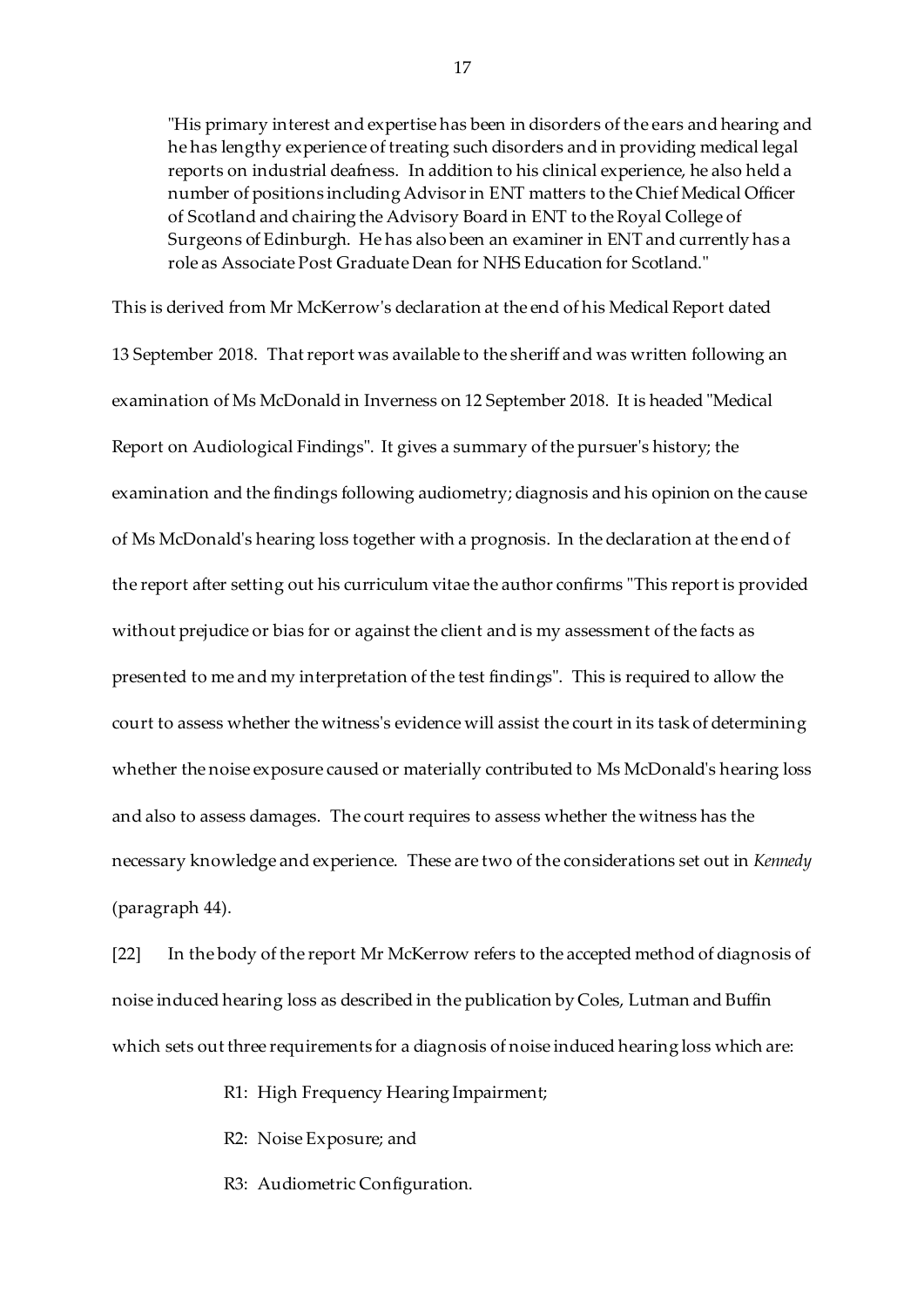"His primary interest and expertise has been in disorders of the ears and hearing and he has lengthy experience of treating such disorders and in providing medical legal reports on industrial deafness. In addition to his clinical experience, he also held a number of positions including Advisor in ENT matters to the Chief Medical Officer of Scotland and chairing the Advisory Board in ENT to the Royal College of Surgeons of Edinburgh. He has also been an examiner in ENT and currently has a role as Associate Post Graduate Dean for NHS Education for Scotland."

This is derived from Mr McKerrow's declaration at the end of his Medical Report dated 13 September 2018. That report was available to the sheriff and was written following an examination of Ms McDonald in Inverness on 12 September 2018. It is headed "Medical Report on Audiological Findings". It gives a summary of the pursuer's history; the examination and the findings following audiometry; diagnosis and his opinion on the cause of Ms McDonald's hearing loss together with a prognosis. In the declaration at the end of the report after setting out his curriculum vitae the author confirms "This report is provided without prejudice or bias for or against the client and is my assessment of the facts as presented to me and my interpretation of the test findings". This is required to allow the court to assess whether the witness's evidence will assist the court in its task of determining whether the noise exposure caused or materially contributed to Ms McDonald's hearing loss and also to assess damages. The court requires to assess whether the witness has the necessary knowledge and experience. These are two of the considerations set out in *Kennedy* (paragraph 44).

[22] In the body of the report Mr McKerrow refers to the accepted method of diagnosis of noise induced hearing loss as described in the publication by Coles, Lutman and Buffin which sets out three requirements for a diagnosis of noise induced hearing loss which are:

R1: High Frequency Hearing Impairment;

- R2: Noise Exposure; and
- R3: Audiometric Configuration.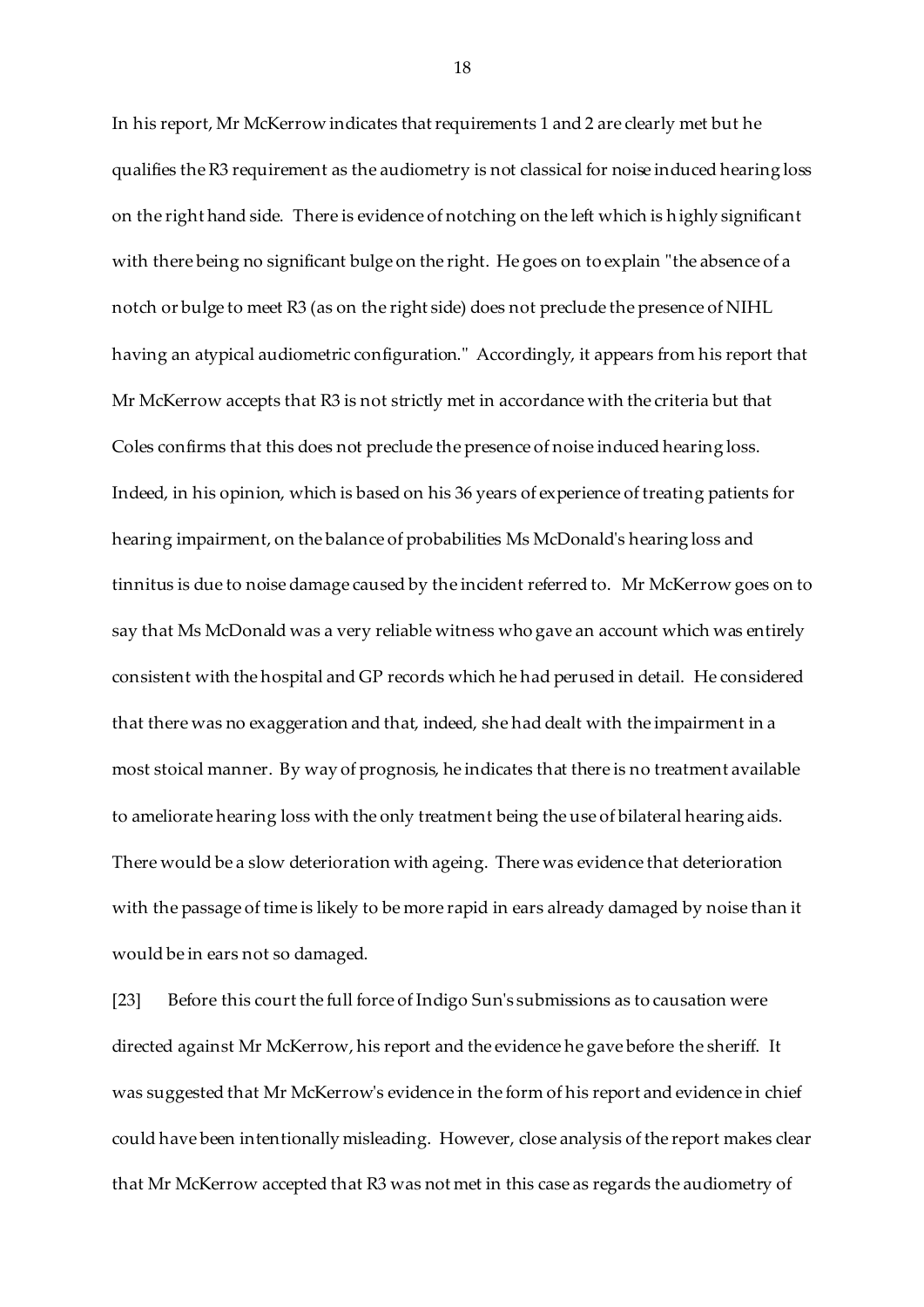In his report, Mr McKerrow indicates that requirements 1 and 2 are clearly met but he qualifies the R3 requirement as the audiometry is not classical for noise induced hearing loss on the right hand side. There is evidence of notching on the left which is highly significant with there being no significant bulge on the right. He goes on to explain "the absence of a notch or bulge to meet R3 (as on the right side) does not preclude the presence of NIHL having an atypical audiometric configuration." Accordingly, it appears from his report that Mr McKerrow accepts that R3 is not strictly met in accordance with the criteria but that Coles confirms that this does not preclude the presence of noise induced hearing loss. Indeed, in his opinion, which is based on his 36 years of experience of treating patients for hearing impairment, on the balance of probabilities Ms McDonald's hearing loss and tinnitus is due to noise damage caused by the incident referred to. Mr McKerrow goes on to say that Ms McDonald was a very reliable witness who gave an account which was entirely consistent with the hospital and GP records which he had perused in detail. He considered that there was no exaggeration and that, indeed, she had dealt with the impairment in a most stoical manner. By way of prognosis, he indicates that there is no treatment available to ameliorate hearing loss with the only treatment being the use of bilateral hearing aids. There would be a slow deterioration with ageing. There was evidence that deterioration with the passage of time is likely to be more rapid in ears already damaged by noise than it would be in ears not so damaged.

[23] Before this court the full force of Indigo Sun's submissions as to causation were directed against Mr McKerrow, his report and the evidence he gave before the sheriff. It was suggested that Mr McKerrow's evidence in the form of his report and evidence in chief could have been intentionally misleading. However, close analysis of the report makes clear that Mr McKerrow accepted that R3 was not met in this case as regards the audiometry of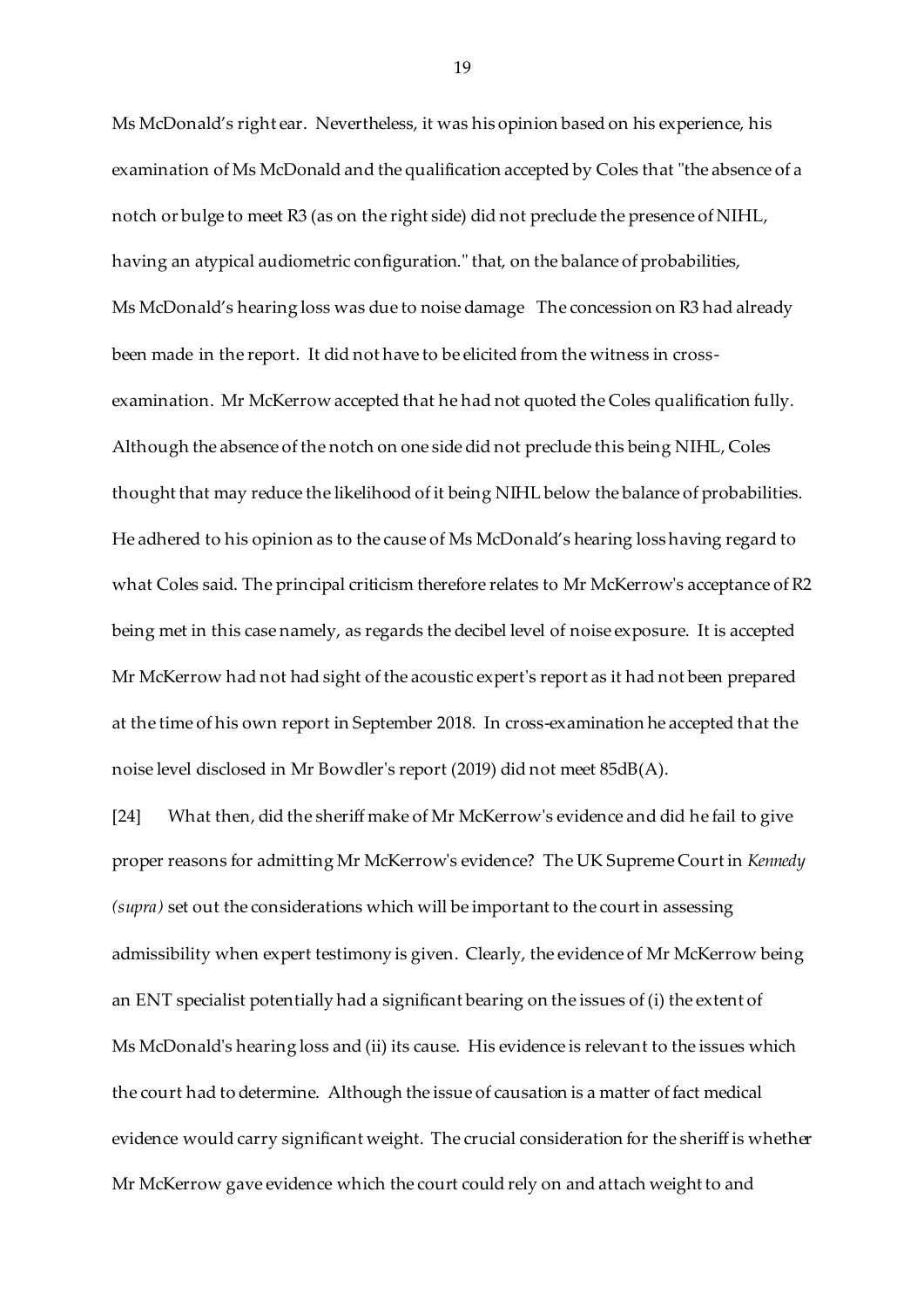Ms McDonald's right ear. Nevertheless, it was his opinion based on his experience, his examination of Ms McDonald and the qualification accepted by Coles that "the absence of a notch or bulge to meet R3 (as on the right side) did not preclude the presence of NIHL, having an atypical audiometric configuration." that, on the balance of probabilities, Ms McDonald's hearing loss was due to noise damage The concession on R3 had already been made in the report. It did not have to be elicited from the witness in crossexamination. Mr McKerrow accepted that he had not quoted the Coles qualification fully. Although the absence of the notch on one side did not preclude this being NIHL, Coles thought that may reduce the likelihood of it being NIHL below the balance of probabilities. He adhered to his opinion as to the cause of Ms McDonald's hearing loss having regard to what Coles said. The principal criticism therefore relates to Mr McKerrow's acceptance of R2 being met in this case namely, as regards the decibel level of noise exposure. It is accepted Mr McKerrow had not had sight of the acoustic expert's report as it had not been prepared at the time of his own report in September 2018. In cross-examination he accepted that the noise level disclosed in Mr Bowdler's report (2019) did not meet 85dB(A).

[24] What then, did the sheriff make of Mr McKerrow's evidence and did he fail to give proper reasons for admitting Mr McKerrow's evidence? The UK Supreme Court in *Kennedy (supra)* set out the considerations which will be important to the court in assessing admissibility when expert testimony is given. Clearly, the evidence of Mr McKerrow being an ENT specialist potentially had a significant bearing on the issues of (i) the extent of Ms McDonald's hearing loss and (ii) its cause. His evidence is relevant to the issues which the court had to determine. Although the issue of causation is a matter of fact medical evidence would carry significant weight. The crucial consideration for the sheriff is whether Mr McKerrow gave evidence which the court could rely on and attach weight to and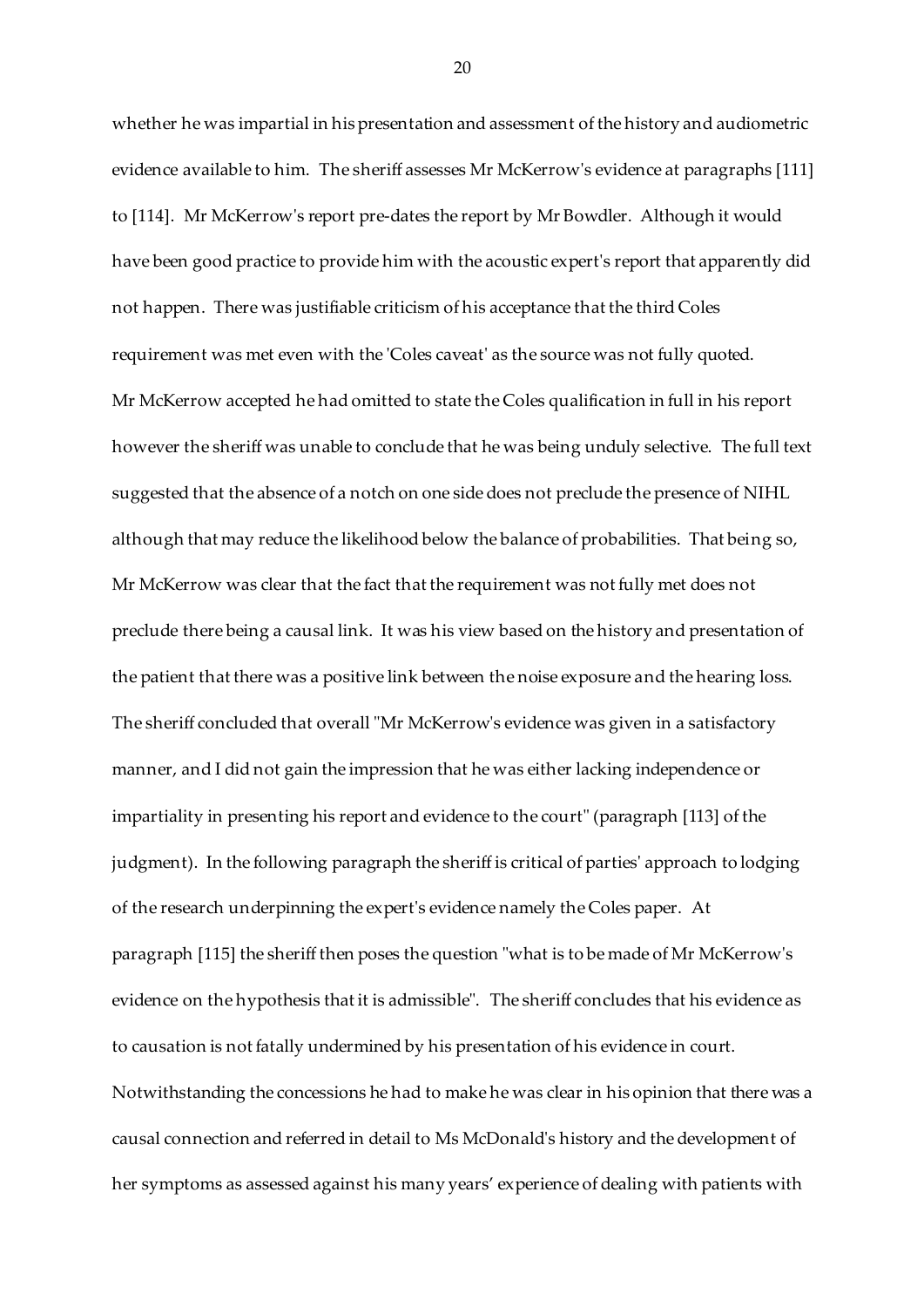whether he was impartial in his presentation and assessment of the history and audiometric evidence available to him. The sheriff assesses Mr McKerrow's evidence at paragraphs [111] to [114]. Mr McKerrow's report pre-dates the report by Mr Bowdler. Although it would have been good practice to provide him with the acoustic expert's report that apparently did not happen. There was justifiable criticism of his acceptance that the third Coles requirement was met even with the 'Coles caveat' as the source was not fully quoted. Mr McKerrow accepted he had omitted to state the Coles qualification in full in his report however the sheriff was unable to conclude that he was being unduly selective. The full text suggested that the absence of a notch on one side does not preclude the presence of NIHL although that may reduce the likelihood below the balance of probabilities. That being so, Mr McKerrow was clear that the fact that the requirement was not fully met does not preclude there being a causal link. It was his view based on the history and presentation of the patient that there was a positive link between the noise exposure and the hearing loss. The sheriff concluded that overall "Mr McKerrow's evidence was given in a satisfactory manner, and I did not gain the impression that he was either lacking independence or impartiality in presenting his report and evidence to the court" (paragraph [113] of the judgment). In the following paragraph the sheriff is critical of parties' approach to lodging of the research underpinning the expert's evidence namely the Coles paper. At paragraph [115] the sheriff then poses the question "what is to be made of Mr McKerrow's evidence on the hypothesis that it is admissible". The sheriff concludes that his evidence as to causation is not fatally undermined by his presentation of his evidence in court. Notwithstanding the concessions he had to make he was clear in his opinion that there was a causal connection and referred in detail to Ms McDonald's history and the development of her symptoms as assessed against his many years' experience of dealing with patients with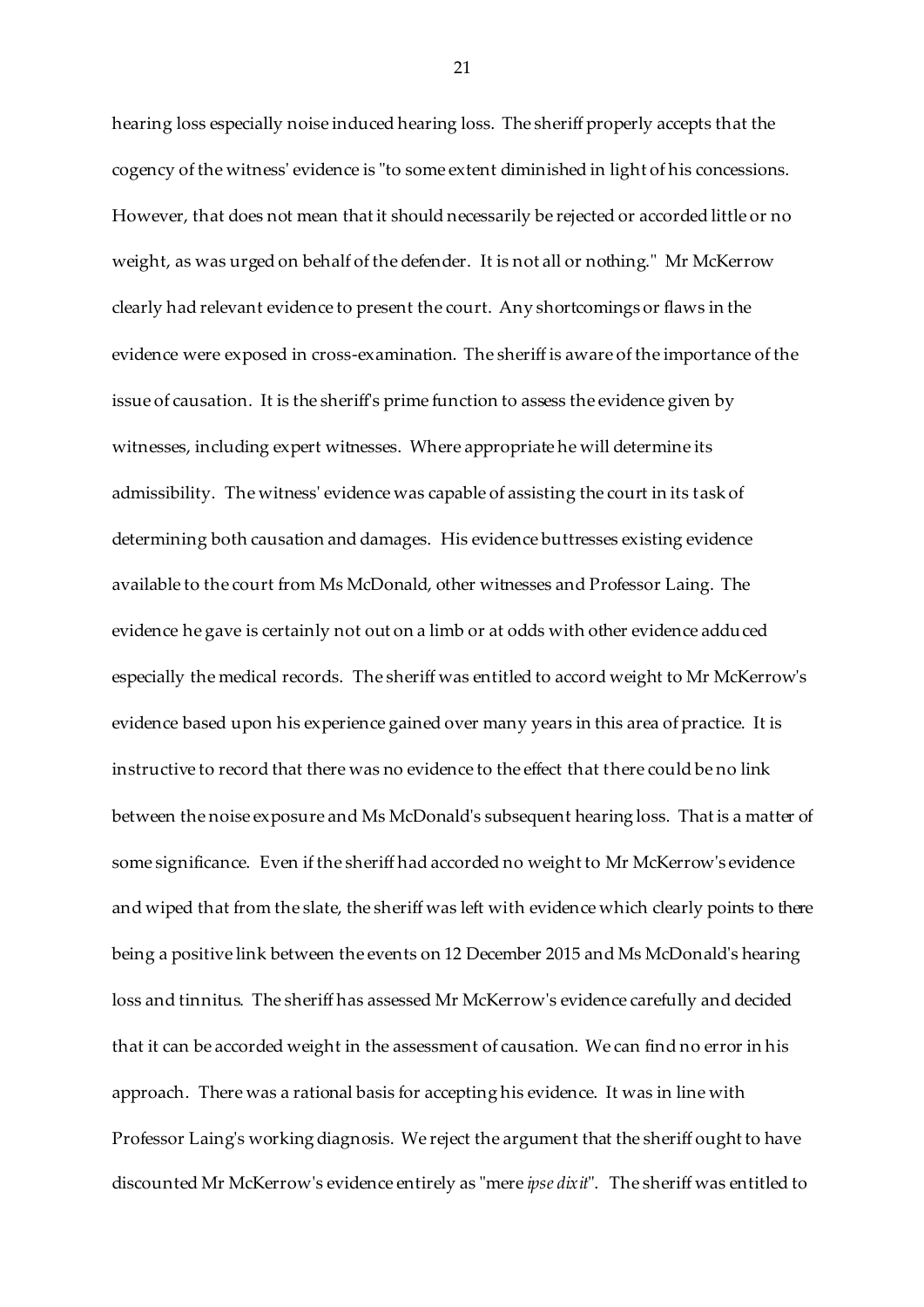hearing loss especially noise induced hearing loss. The sheriff properly accepts that the cogency of the witness' evidence is "to some extent diminished in light of his concessions. However, that does not mean that it should necessarily be rejected or accorded little or no weight, as was urged on behalf of the defender. It is not all or nothing." Mr McKerrow clearly had relevant evidence to present the court. Any shortcomings or flaws in the evidence were exposed in cross-examination. The sheriff is aware of the importance of the issue of causation. It is the sheriff's prime function to assess the evidence given by witnesses, including expert witnesses. Where appropriate he will determine its admissibility. The witness' evidence was capable of assisting the court in its task of determining both causation and damages. His evidence buttresses existing evidence available to the court from Ms McDonald, other witnesses and Professor Laing. The evidence he gave is certainly not out on a limb or at odds with other evidence adduced especially the medical records. The sheriff was entitled to accord weight to Mr McKerrow's evidence based upon his experience gained over many years in this area of practice. It is instructive to record that there was no evidence to the effect that there could be no link between the noise exposure and Ms McDonald's subsequent hearing loss. That is a matter of some significance. Even if the sheriff had accorded no weight to Mr McKerrow's evidence and wiped that from the slate, the sheriff was left with evidence which clearly points to there being a positive link between the events on 12 December 2015 and Ms McDonald's hearing loss and tinnitus. The sheriff has assessed Mr McKerrow's evidence carefully and decided that it can be accorded weight in the assessment of causation. We can find no error in his approach. There was a rational basis for accepting his evidence. It was in line with Professor Laing's working diagnosis. We reject the argument that the sheriff ought to have discounted Mr McKerrow's evidence entirely as "mere *ipse dixit*". The sheriff was entitled to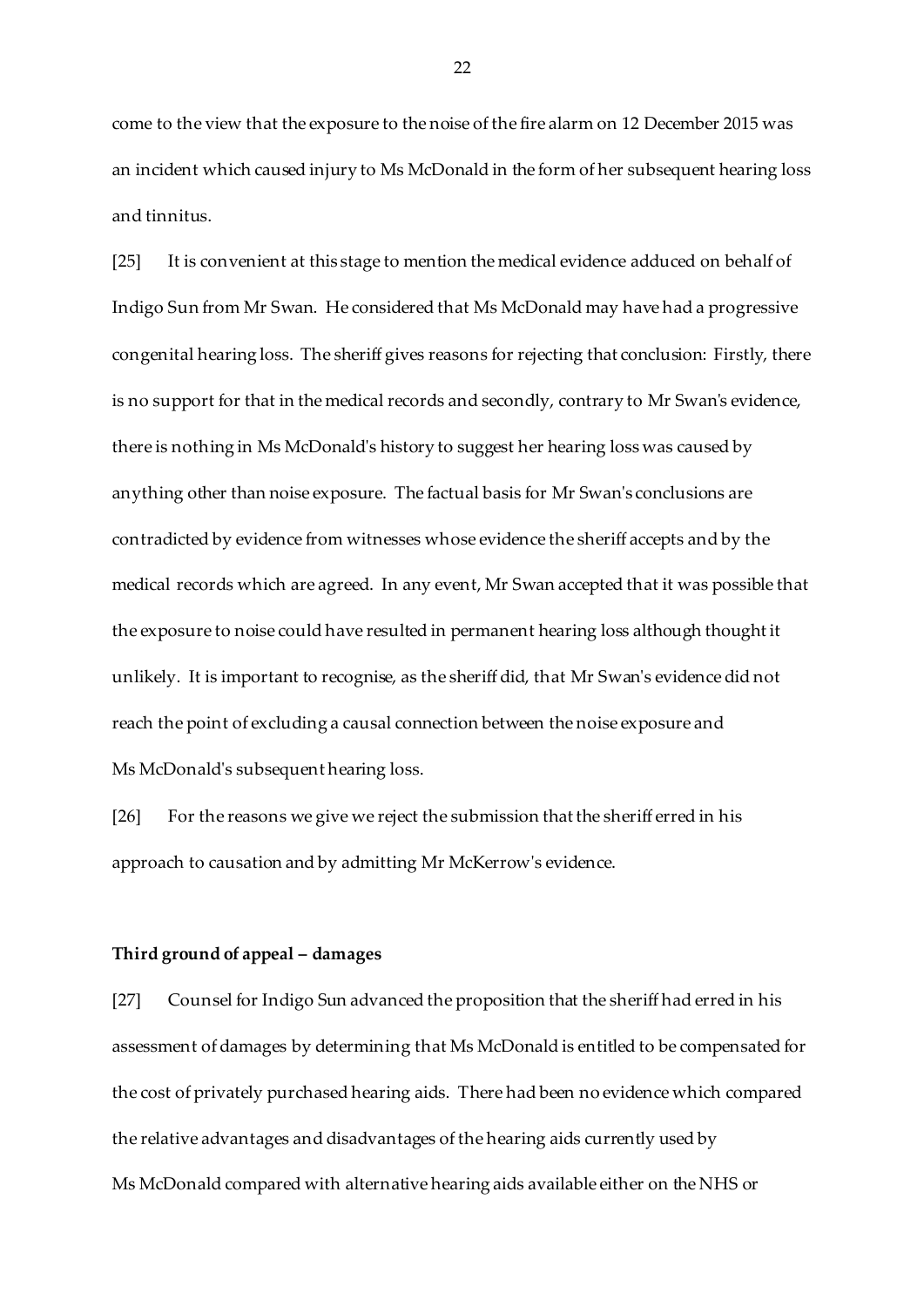come to the view that the exposure to the noise of the fire alarm on 12 December 2015 was an incident which caused injury to Ms McDonald in the form of her subsequent hearing loss and tinnitus.

[25] It is convenient at this stage to mention the medical evidence adduced on behalf of Indigo Sun from Mr Swan. He considered that Ms McDonald may have had a progressive congenital hearing loss. The sheriff gives reasons for rejecting that conclusion: Firstly, there is no support for that in the medical records and secondly, contrary to Mr Swan's evidence, there is nothing in Ms McDonald's history to suggest her hearing loss was caused by anything other than noise exposure. The factual basis for Mr Swan's conclusions are contradicted by evidence from witnesses whose evidence the sheriff accepts and by the medical records which are agreed. In any event, Mr Swan accepted that it was possible that the exposure to noise could have resulted in permanent hearing loss although thought it unlikely. It is important to recognise, as the sheriff did, that Mr Swan's evidence did not reach the point of excluding a causal connection between the noise exposure and Ms McDonald's subsequent hearing loss.

[26] For the reasons we give we reject the submission that the sheriff erred in his approach to causation and by admitting Mr McKerrow's evidence.

#### **Third ground of appeal – damages**

[27] Counsel for Indigo Sun advanced the proposition that the sheriff had erred in his assessment of damages by determining that Ms McDonald is entitled to be compensated for the cost of privately purchased hearing aids. There had been no evidence which compared the relative advantages and disadvantages of the hearing aids currently used by Ms McDonald compared with alternative hearing aids available either on the NHS or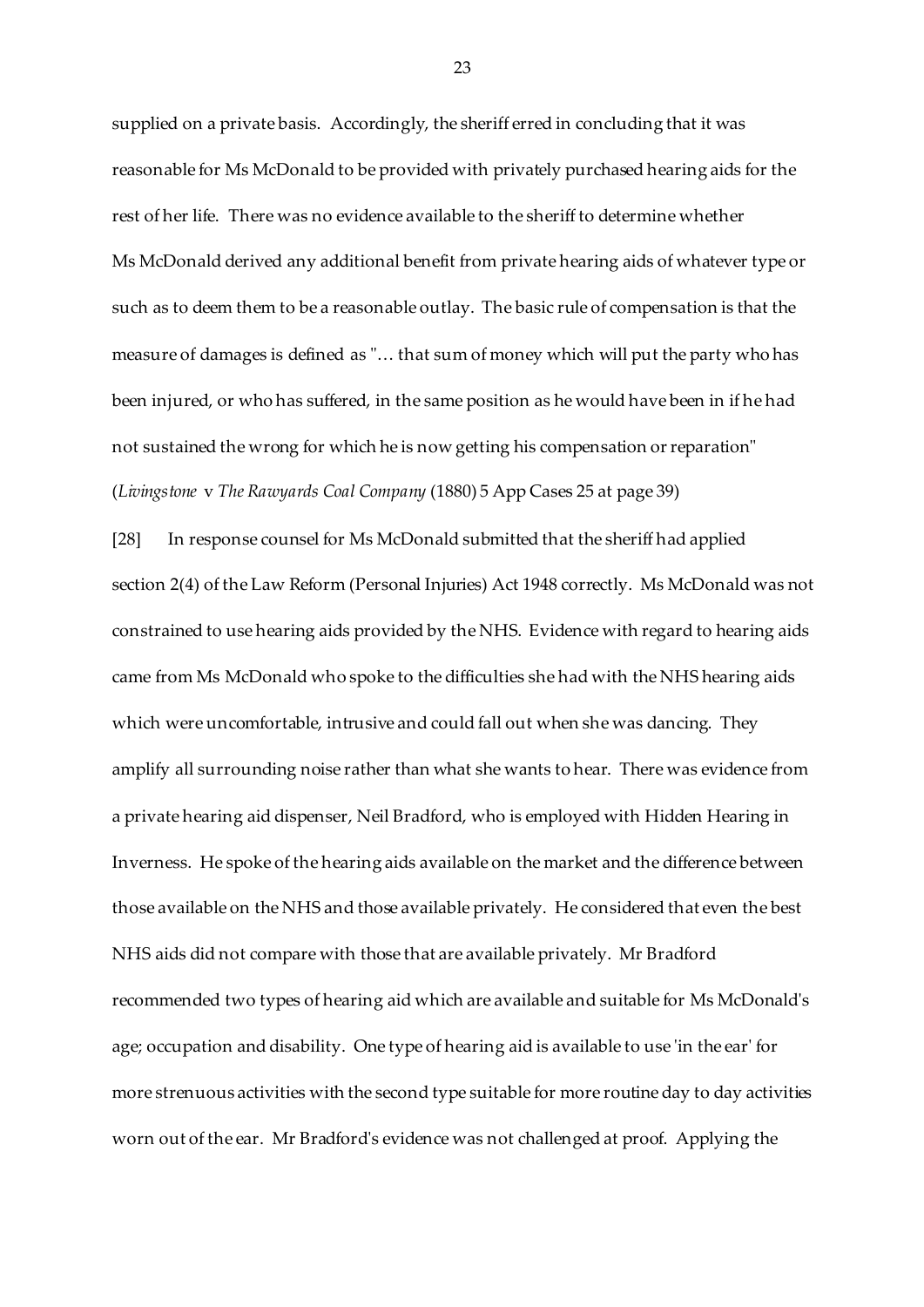supplied on a private basis. Accordingly, the sheriff erred in concluding that it was reasonable for Ms McDonald to be provided with privately purchased hearing aids for the rest of her life. There was no evidence available to the sheriff to determine whether Ms McDonald derived any additional benefit from private hearing aids of whatever type or such as to deem them to be a reasonable outlay. The basic rule of compensation is that the measure of damages is defined as "… that sum of money which will put the party who has been injured, or who has suffered, in the same position as he would have been in if he had not sustained the wrong for which he is now getting his compensation or reparation" (*Livingstone* v *The Rawyards Coal Company* (1880) 5 App Cases 25 at page 39)

[28] In response counsel for Ms McDonald submitted that the sheriff had applied section 2(4) of the Law Reform (Personal Injuries) Act 1948 correctly. Ms McDonald was not constrained to use hearing aids provided by the NHS. Evidence with regard to hearing aids came from Ms McDonald who spoke to the difficulties she had with the NHS hearing aids which were uncomfortable, intrusive and could fall out when she was dancing. They amplify all surrounding noise rather than what she wants to hear. There was evidence from a private hearing aid dispenser, Neil Bradford, who is employed with Hidden Hearing in Inverness. He spoke of the hearing aids available on the market and the difference between those available on the NHS and those available privately. He considered that even the best NHS aids did not compare with those that are available privately. Mr Bradford recommended two types of hearing aid which are available and suitable for Ms McDonald's age; occupation and disability. One type of hearing aid is available to use 'in the ear' for more strenuous activities with the second type suitable for more routine day to day activities worn out of the ear. Mr Bradford's evidence was not challenged at proof. Applying the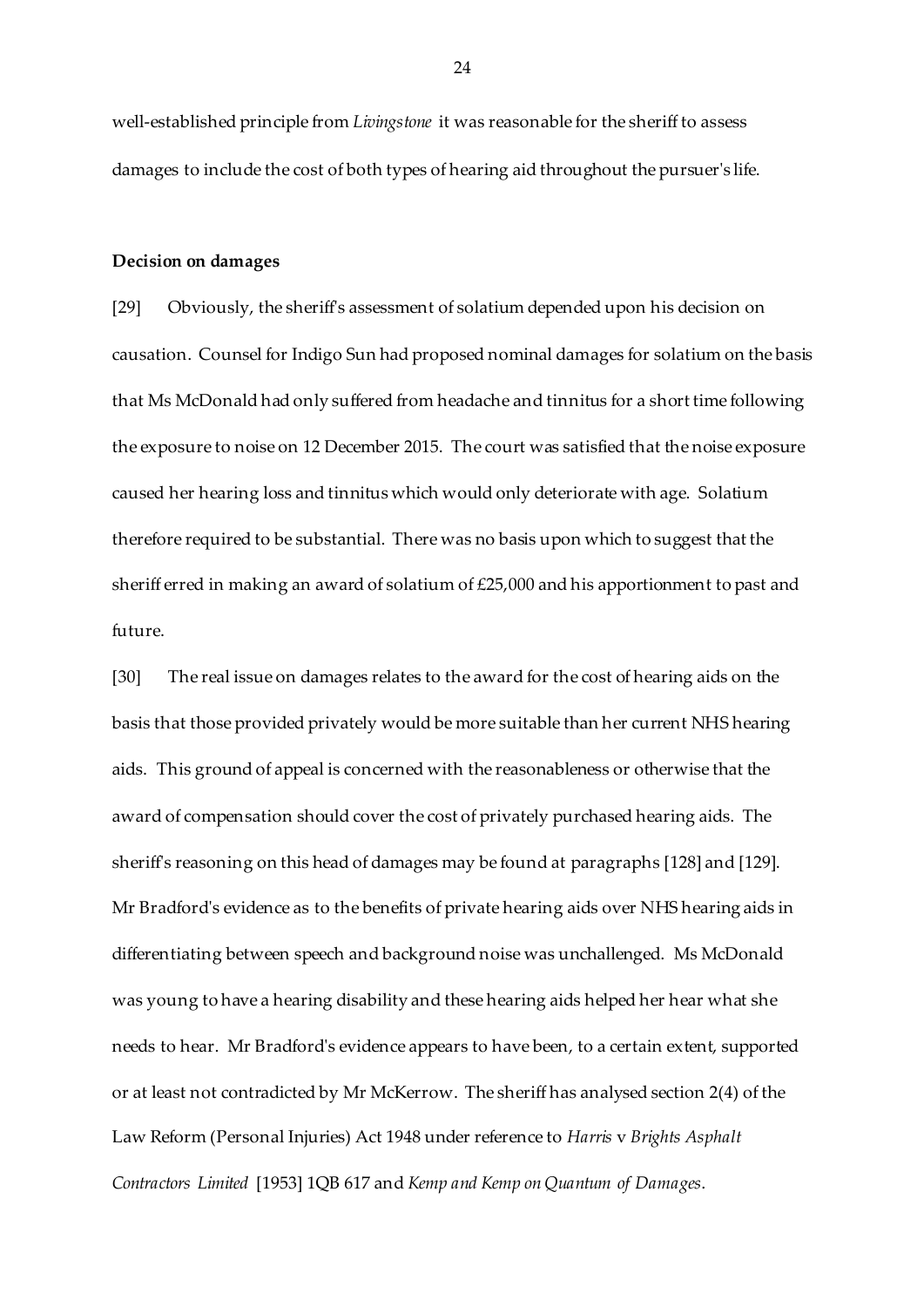well-established principle from *Livingstone* it was reasonable for the sheriff to assess damages to include the cost of both types of hearing aid throughout the pursuer's life.

#### **Decision on damages**

[29] Obviously, the sheriff's assessment of solatium depended upon his decision on causation. Counsel for Indigo Sun had proposed nominal damages for solatium on the basis that Ms McDonald had only suffered from headache and tinnitus for a short time following the exposure to noise on 12 December 2015. The court was satisfied that the noise exposure caused her hearing loss and tinnitus which would only deteriorate with age. Solatium therefore required to be substantial. There was no basis upon which to suggest that the sheriff erred in making an award of solatium of £25,000 and his apportionment to past and future.

[30] The real issue on damages relates to the award for the cost of hearing aids on the basis that those provided privately would be more suitable than her current NHS hearing aids. This ground of appeal is concerned with the reasonableness or otherwise that the award of compensation should cover the cost of privately purchased hearing aids. The sheriff's reasoning on this head of damages may be found at paragraphs [128] and [129]. Mr Bradford's evidence as to the benefits of private hearing aids over NHS hearing aids in differentiating between speech and background noise was unchallenged. Ms McDonald was young to have a hearing disability and these hearing aids helped her hear what she needs to hear. Mr Bradford's evidence appears to have been, to a certain extent, supported or at least not contradicted by Mr McKerrow. The sheriff has analysed section 2(4) of the Law Reform (Personal Injuries) Act 1948 under reference to *Harris* v *Brights Asphalt Contractors Limited* [1953] 1QB 617 and *Kemp and Kemp on Quantum of Damages*.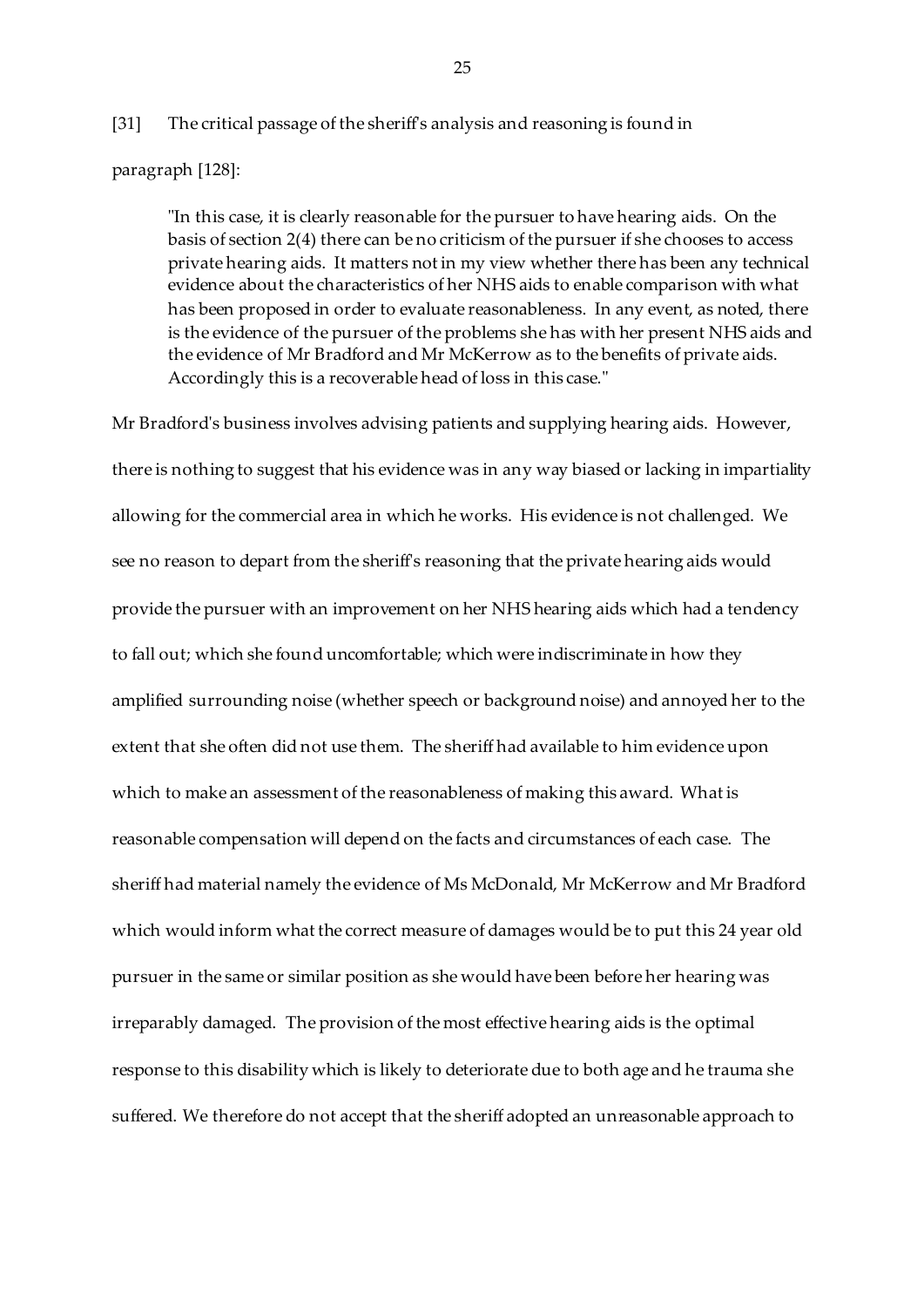# [31] The critical passage of the sheriff's analysis and reasoning is found in

paragraph [128]:

"In this case, it is clearly reasonable for the pursuer to have hearing aids. On the basis of section 2(4) there can be no criticism of the pursuer if she chooses to access private hearing aids. It matters not in my view whether there has been any technical evidence about the characteristics of her NHS aids to enable comparison with what has been proposed in order to evaluate reasonableness. In any event, as noted, there is the evidence of the pursuer of the problems she has with her present NHS aids and the evidence of Mr Bradford and Mr McKerrow as to the benefits of private aids. Accordingly this is a recoverable head of loss in this case."

Mr Bradford's business involves advising patients and supplying hearing aids. However, there is nothing to suggest that his evidence was in any way biased or lacking in impartiality allowing for the commercial area in which he works. His evidence is not challenged. We see no reason to depart from the sheriff's reasoning that the private hearing aids would provide the pursuer with an improvement on her NHS hearing aids which had a tendency to fall out; which she found uncomfortable; which were indiscriminate in how they amplified surrounding noise (whether speech or background noise) and annoyed her to the extent that she often did not use them. The sheriff had available to him evidence upon which to make an assessment of the reasonableness of making this award. What is reasonable compensation will depend on the facts and circumstances of each case. The sheriff had material namely the evidence of Ms McDonald, Mr McKerrow and Mr Bradford which would inform what the correct measure of damages would be to put this 24 year old pursuer in the same or similar position as she would have been before her hearing was irreparably damaged. The provision of the most effective hearing aids is the optimal response to this disability which is likely to deteriorate due to both age and he trauma she suffered. We therefore do not accept that the sheriff adopted an unreasonable approach to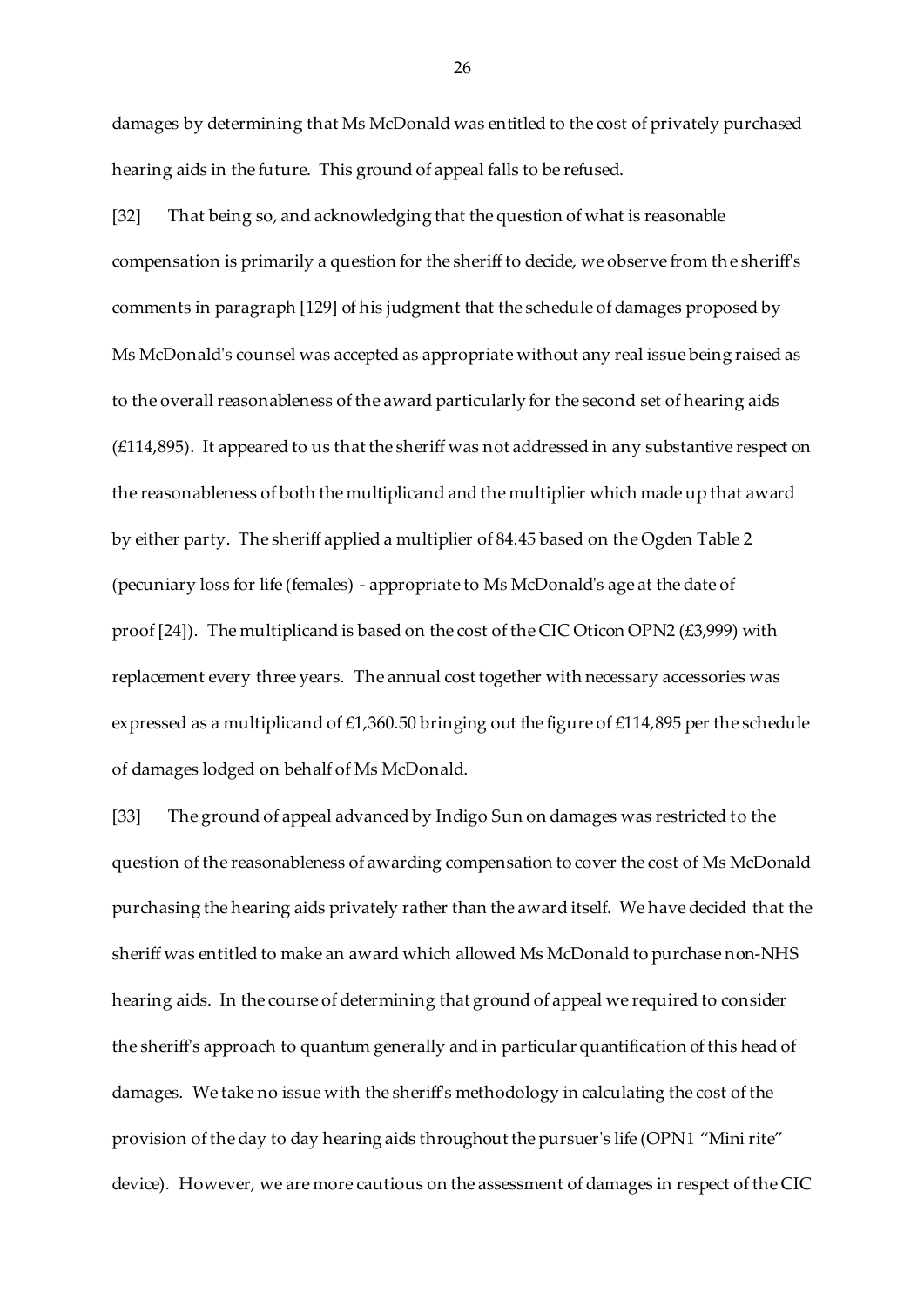damages by determining that Ms McDonald was entitled to the cost of privately purchased hearing aids in the future. This ground of appeal falls to be refused.

[32] That being so, and acknowledging that the question of what is reasonable compensation is primarily a question for the sheriff to decide, we observe from the sheriff's comments in paragraph [129] of his judgment that the schedule of damages proposed by Ms McDonald's counsel was accepted as appropriate without any real issue being raised as to the overall reasonableness of the award particularly for the second set of hearing aids (£114,895). It appeared to us that the sheriff was not addressed in any substantive respect on the reasonableness of both the multiplicand and the multiplier which made up that award by either party. The sheriff applied a multiplier of 84.45 based on the Ogden Table 2 (pecuniary loss for life (females) - appropriate to Ms McDonald's age at the date of proof [24]). The multiplicand is based on the cost of the CIC Oticon OPN2 (£3,999) with replacement every three years. The annual cost together with necessary accessories was expressed as a multiplicand of £1,360.50 bringing out the figure of £114,895 per the schedule of damages lodged on behalf of Ms McDonald.

[33] The ground of appeal advanced by Indigo Sun on damages was restricted to the question of the reasonableness of awarding compensation to cover the cost of Ms McDonald purchasing the hearing aids privately rather than the award itself. We have decided that the sheriff was entitled to make an award which allowed Ms McDonald to purchase non-NHS hearing aids. In the course of determining that ground of appeal we required to consider the sheriff's approach to quantum generally and in particular quantification of this head of damages. We take no issue with the sheriff's methodology in calculating the cost of the provision of the day to day hearing aids throughout the pursuer's life (OPN1 "Mini rite" device). However, we are more cautious on the assessment of damages in respect of the CIC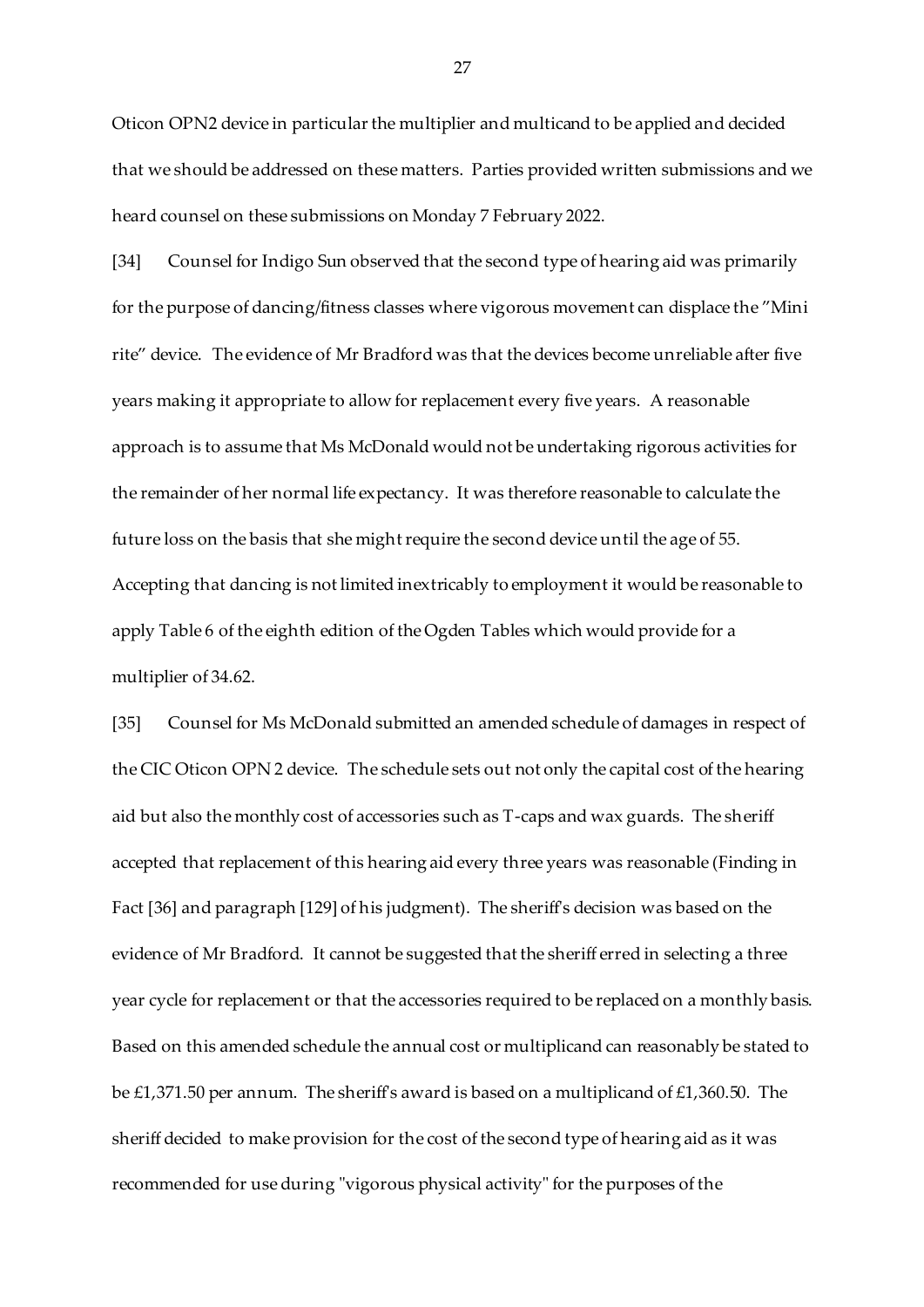Oticon OPN2 device in particular the multiplier and multicand to be applied and decided that we should be addressed on these matters. Parties provided written submissions and we heard counsel on these submissions on Monday 7 February 2022.

[34] Counsel for Indigo Sun observed that the second type of hearing aid was primarily for the purpose of dancing/fitness classes where vigorous movement can displace the "Mini rite" device. The evidence of Mr Bradford was that the devices become unreliable after five years making it appropriate to allow for replacement every five years. A reasonable approach is to assume that Ms McDonald would not be undertaking rigorous activities for the remainder of her normal life expectancy. It was therefore reasonable to calculate the future loss on the basis that she might require the second device until the age of 55. Accepting that dancing is not limited inextricably to employment it would be reasonable to apply Table 6 of the eighth edition of the Ogden Tables which would provide for a multiplier of 34.62.

[35] Counsel for Ms McDonald submitted an amended schedule of damages in respect of the CIC Oticon OPN 2 device. The schedule sets out not only the capital cost of the hearing aid but also the monthly cost of accessories such as T-caps and wax guards. The sheriff accepted that replacement of this hearing aid every three years was reasonable (Finding in Fact [36] and paragraph [129] of his judgment). The sheriff's decision was based on the evidence of Mr Bradford. It cannot be suggested that the sheriff erred in selecting a three year cycle for replacement or that the accessories required to be replaced on a monthly basis. Based on this amended schedule the annual cost or multiplicand can reasonably be stated to be £1,371.50 per annum. The sheriff's award is based on a multiplicand of £1,360.50. The sheriff decided to make provision for the cost of the second type of hearing aid as it was recommended for use during "vigorous physical activity" for the purposes of the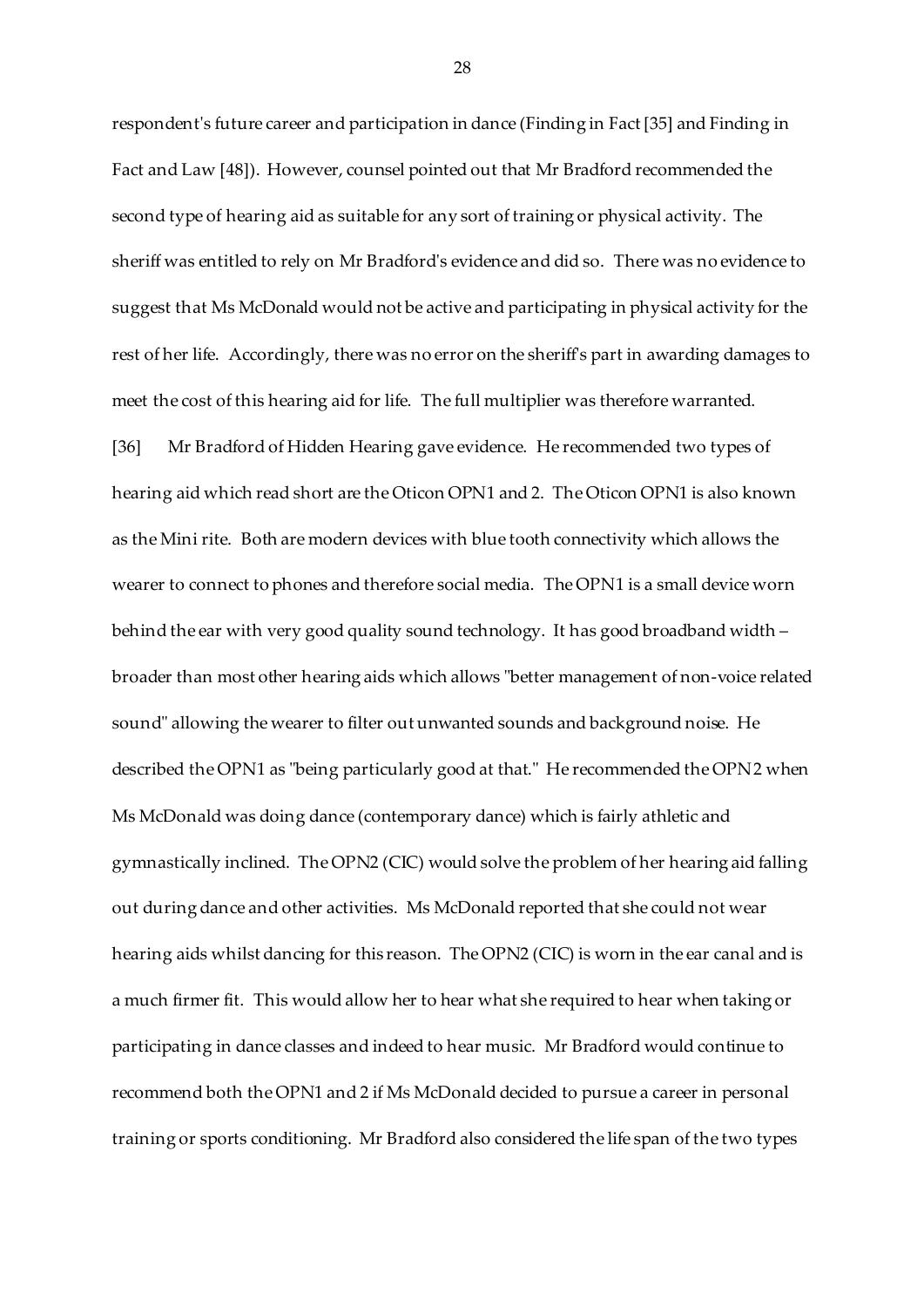respondent's future career and participation in dance (Finding in Fact [35] and Finding in Fact and Law [48]). However, counsel pointed out that Mr Bradford recommended the second type of hearing aid as suitable for any sort of training or physical activity. The sheriff was entitled to rely on Mr Bradford's evidence and did so. There was no evidence to suggest that Ms McDonald would not be active and participating in physical activity for the rest of her life. Accordingly, there was no error on the sheriff's part in awarding damages to meet the cost of this hearing aid for life. The full multiplier was therefore warranted.

[36] Mr Bradford of Hidden Hearing gave evidence. He recommended two types of hearing aid which read short are the Oticon OPN1 and 2. The Oticon OPN1 is also known as the Mini rite. Both are modern devices with blue tooth connectivity which allows the wearer to connect to phones and therefore social media. The OPN1 is a small device worn behind the ear with very good quality sound technology. It has good broadband width – broader than most other hearing aids which allows "better management of non-voice related sound" allowing the wearer to filter out unwanted sounds and background noise. He described the OPN1 as "being particularly good at that." He recommended the OPN2 when Ms McDonald was doing dance (contemporary dance) which is fairly athletic and gymnastically inclined. The OPN2 (CIC) would solve the problem of her hearing aid falling out during dance and other activities. Ms McDonald reported that she could not wear hearing aids whilst dancing for this reason. The OPN2 (CIC) is worn in the ear canal and is a much firmer fit. This would allow her to hear what she required to hear when taking or participating in dance classes and indeed to hear music. Mr Bradford would continue to recommend both the OPN1 and 2 if Ms McDonald decided to pursue a career in personal training or sports conditioning. Mr Bradford also considered the life span of the two types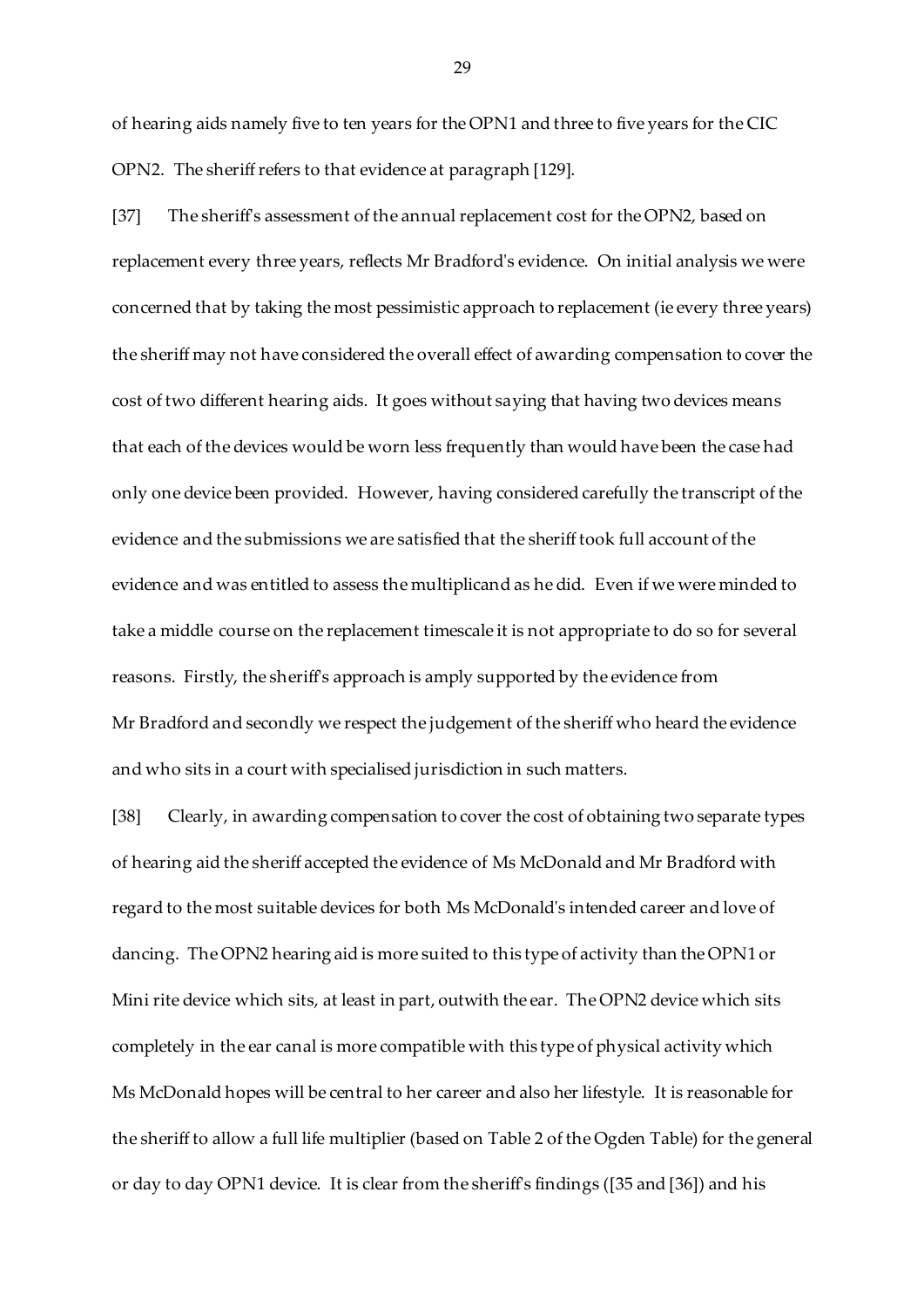of hearing aids namely five to ten years for the OPN1 and three to five years for the CIC OPN2. The sheriff refers to that evidence at paragraph [129].

[37] The sheriff's assessment of the annual replacement cost for the OPN2, based on replacement every three years, reflects Mr Bradford's evidence. On initial analysis we were concerned that by taking the most pessimistic approach to replacement (ie every three years) the sheriff may not have considered the overall effect of awarding compensation to cover the cost of two different hearing aids. It goes without saying that having two devices means that each of the devices would be worn less frequently than would have been the case had only one device been provided. However, having considered carefully the transcript of the evidence and the submissions we are satisfied that the sheriff took full account of the evidence and was entitled to assess the multiplicand as he did. Even if we were minded to take a middle course on the replacement timescale it is not appropriate to do so for several reasons. Firstly, the sheriff's approach is amply supported by the evidence from Mr Bradford and secondly we respect the judgement of the sheriff who heard the evidence and who sits in a court with specialised jurisdiction in such matters.

[38] Clearly, in awarding compensation to cover the cost of obtaining two separate types of hearing aid the sheriff accepted the evidence of Ms McDonald and Mr Bradford with regard to the most suitable devices for both Ms McDonald's intended career and love of dancing. The OPN2 hearing aid is more suited to this type of activity than the OPN1 or Mini rite device which sits, at least in part, outwith the ear. The OPN2 device which sits completely in the ear canal is more compatible with this type of physical activity which Ms McDonald hopes will be central to her career and also her lifestyle. It is reasonable for the sheriff to allow a full life multiplier (based on Table 2 of the Ogden Table) for the general or day to day OPN1 device. It is clear from the sheriff's findings ([35 and [36]) and his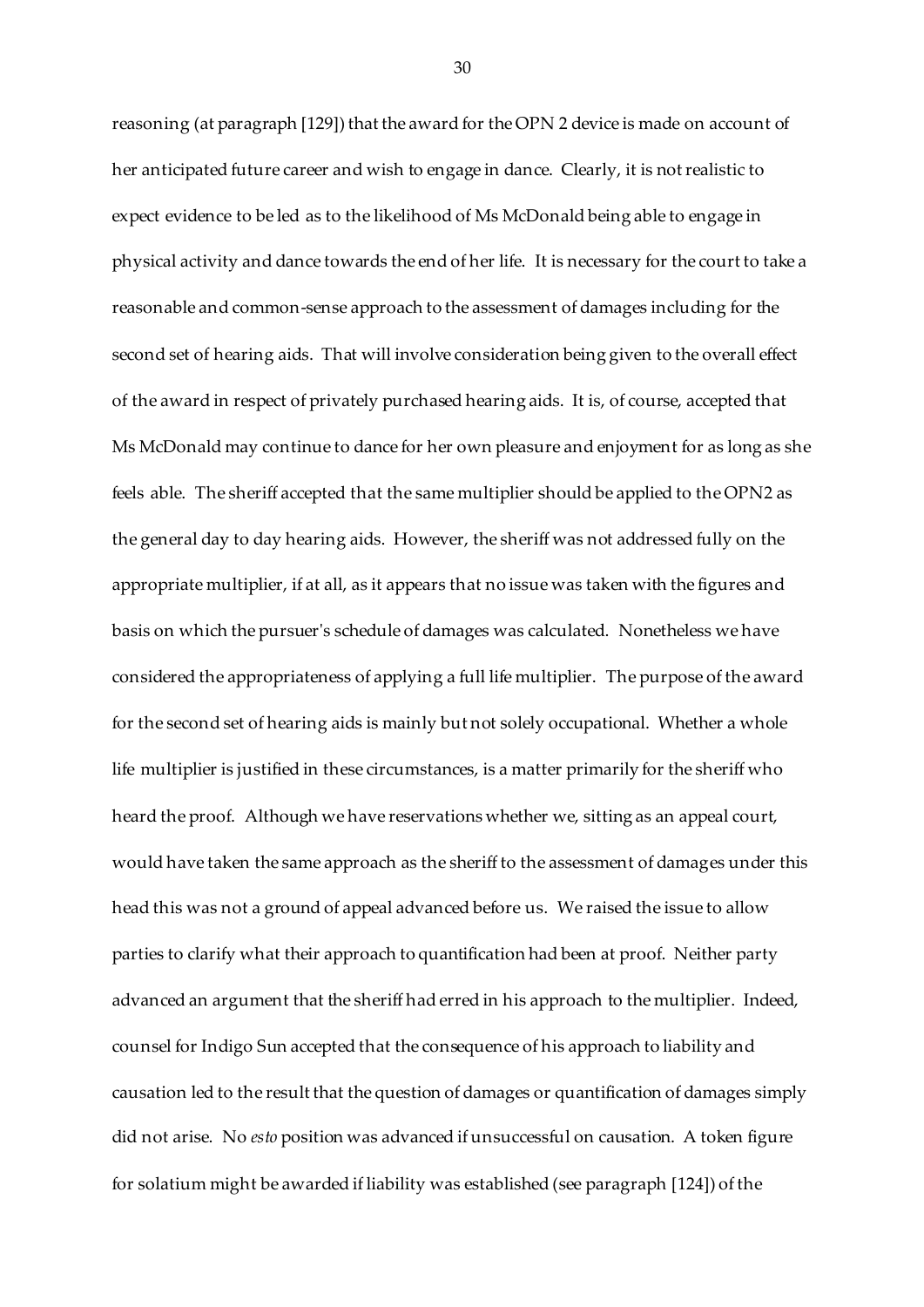reasoning (at paragraph [129]) that the award for the OPN 2 device is made on account of her anticipated future career and wish to engage in dance. Clearly, it is not realistic to expect evidence to be led as to the likelihood of Ms McDonald being able to engage in physical activity and dance towards the end of her life. It is necessary for the court to take a reasonable and common-sense approach to the assessment of damages including for the second set of hearing aids. That will involve consideration being given to the overall effect of the award in respect of privately purchased hearing aids. It is, of course, accepted that Ms McDonald may continue to dance for her own pleasure and enjoyment for as long as she feels able. The sheriff accepted that the same multiplier should be applied to the OPN2 as the general day to day hearing aids. However, the sheriff was not addressed fully on the appropriate multiplier, if at all, as it appears that no issue was taken with the figures and basis on which the pursuer's schedule of damages was calculated. Nonetheless we have considered the appropriateness of applying a full life multiplier. The purpose of the award for the second set of hearing aids is mainly but not solely occupational. Whether a whole life multiplier is justified in these circumstances, is a matter primarily for the sheriff who heard the proof. Although we have reservations whether we, sitting as an appeal court, would have taken the same approach as the sheriff to the assessment of damages under this head this was not a ground of appeal advanced before us. We raised the issue to allow parties to clarify what their approach to quantification had been at proof. Neither party advanced an argument that the sheriff had erred in his approach to the multiplier. Indeed, counsel for Indigo Sun accepted that the consequence of his approach to liability and causation led to the result that the question of damages or quantification of damages simply did not arise. No *esto* position was advanced if unsuccessful on causation. A token figure for solatium might be awarded if liability was established (see paragraph [124]) of the